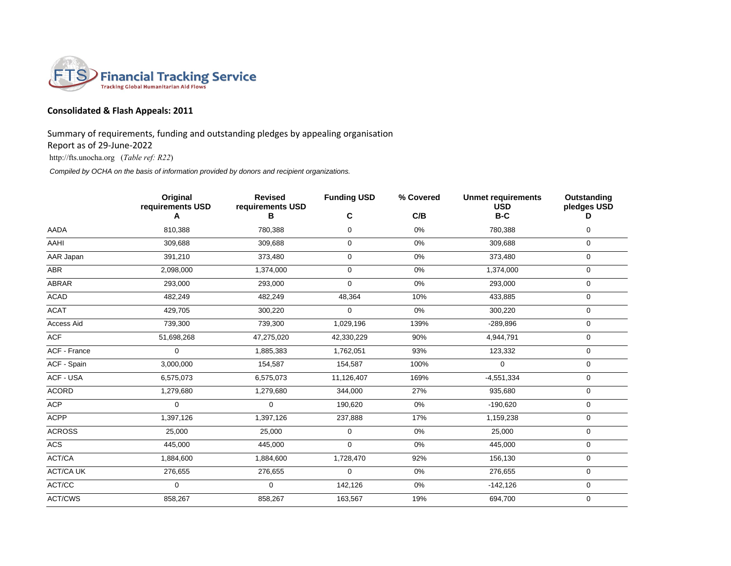

## **Consolidated & Flash Appeals: 2011**

Summary of requirements, funding and outstanding pledges by appealing organisation

Report as of 29-June-2022

http://fts.unocha.org (*Table ref: R22*)

*Compiled by OCHA on the basis of information provided by donors and recipient organizations.*

|                     | Original<br>requirements USD | <b>Revised</b><br>requirements USD | <b>Funding USD</b> | % Covered | <b>Unmet requirements</b><br><b>USD</b> | Outstanding<br>pledges USD |
|---------------------|------------------------------|------------------------------------|--------------------|-----------|-----------------------------------------|----------------------------|
|                     | А                            | в                                  | C                  | C/B       | $B-C$                                   | D                          |
| AADA                | 810,388                      | 780,388                            | 0                  | 0%        | 780,388                                 | $\mathbf 0$                |
| <b>AAHI</b>         | 309,688                      | 309,688                            | 0                  | 0%        | 309,688                                 | 0                          |
| AAR Japan           | 391,210                      | 373,480                            | 0                  | $0\%$     | 373,480                                 | $\mathbf 0$                |
| ABR                 | 2,098,000                    | 1,374,000                          | 0                  | 0%        | 1,374,000                               | $\mathbf 0$                |
| <b>ABRAR</b>        | 293,000                      | 293,000                            | 0                  | 0%        | 293,000                                 | $\mathbf 0$                |
| <b>ACAD</b>         | 482,249                      | 482,249                            | 48,364             | 10%       | 433,885                                 | 0                          |
| <b>ACAT</b>         | 429,705                      | 300,220                            | 0                  | $0\%$     | 300,220                                 | $\mathbf 0$                |
| Access Aid          | 739,300                      | 739,300                            | 1,029,196          | 139%      | $-289,896$                              | $\mathbf 0$                |
| <b>ACF</b>          | 51,698,268                   | 47,275,020                         | 42,330,229         | 90%       | 4,944,791                               | $\mathbf 0$                |
| <b>ACF - France</b> | $\mathbf 0$                  | 1,885,383                          | 1,762,051          | 93%       | 123,332                                 | $\mathbf 0$                |
| ACF - Spain         | 3,000,000                    | 154,587                            | 154,587            | 100%      | $\mathbf 0$                             | $\mathbf 0$                |
| ACF - USA           | 6,575,073                    | 6,575,073                          | 11,126,407         | 169%      | $-4,551,334$                            | 0                          |
| <b>ACORD</b>        | 1,279,680                    | 1,279,680                          | 344,000            | 27%       | 935,680                                 | $\mathbf 0$                |
| <b>ACP</b>          | $\Omega$                     | $\Omega$                           | 190,620            | 0%        | $-190,620$                              | $\mathbf 0$                |
| <b>ACPP</b>         | 1,397,126                    | 1,397,126                          | 237,888            | 17%       | 1,159,238                               | $\mathbf 0$                |
| <b>ACROSS</b>       | 25,000                       | 25,000                             | 0                  | $0\%$     | 25,000                                  | 0                          |
| <b>ACS</b>          | 445,000                      | 445,000                            | 0                  | 0%        | 445,000                                 | $\mathbf 0$                |
| ACT/CA              | 1,884,600                    | 1,884,600                          | 1,728,470          | 92%       | 156,130                                 | $\mathbf 0$                |
| <b>ACT/CA UK</b>    | 276,655                      | 276,655                            | 0                  | 0%        | 276,655                                 | $\mathbf 0$                |
| ACT/CC              | $\mathbf 0$                  | $\mathbf 0$                        | 142,126            | 0%        | $-142,126$                              | $\mathbf 0$                |
| ACT/CWS             | 858,267                      | 858,267                            | 163,567            | 19%       | 694,700                                 | $\mathbf 0$                |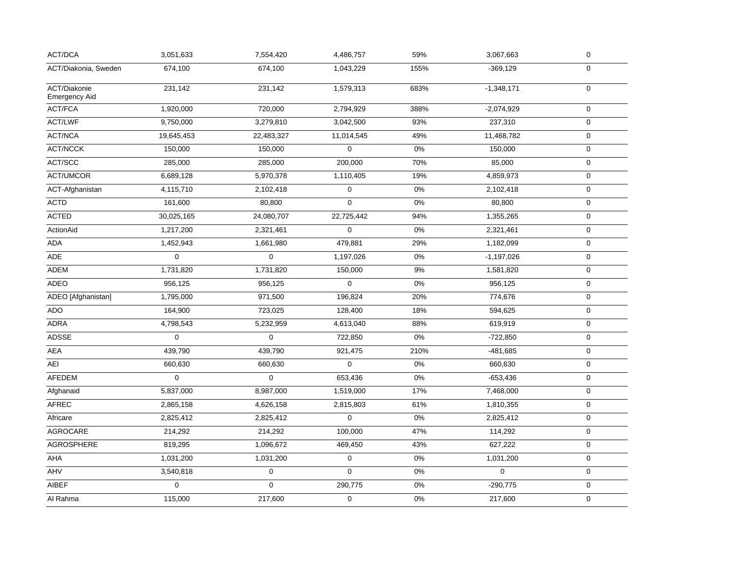| 674,100<br>1,043,229<br>$-369,129$<br>$\mathbf 0$<br>674,100<br>155%<br>$\pmb{0}$<br>231,142<br>231,142<br>1,579,313<br>683%<br>$-1,348,171$<br>1,920,000<br>720,000<br>388%<br>$\mathbf 0$<br>2,794,929<br>$-2,074,929$<br>93%<br>9,750,000<br>3,042,500<br>$\mathbf 0$<br>3,279,810<br>237,310<br>49%<br>19,645,453<br>22,483,327<br>11,014,545<br>11,468,782<br>0<br>150,000<br>$\pmb{0}$<br>$0\%$<br>$\pmb{0}$<br>150,000<br>150,000<br>285,000<br>285,000<br>200,000<br>70%<br>85,000<br>0<br>19%<br>6,689,128<br>5,970,378<br>1,110,405<br>4,859,973<br>0<br>$0\%$<br>$\mathbf 0$<br>$\mathbf 0$<br>4,115,710<br>2,102,418<br>2,102,418<br>$\mathbf 0$<br>$0\%$<br>$\mathsf 0$<br>80,800<br>161,600<br>80,800<br>30,025,165<br>24,080,707<br>22,725,442<br>94%<br>$\mathbf 0$<br>1,355,265<br>1,217,200<br>2,321,461<br>$\mathbf 0$<br>0%<br>2,321,461<br>$\pmb{0}$<br>1,452,943<br>1,661,980<br>479,881<br>29%<br>1,182,099<br>$\pmb{0}$<br>$\mathbf 0$<br>$\Omega$<br>$\mathsf{O}\xspace$<br>1,197,026<br>0%<br>$-1,197,026$<br>1,731,820<br>1,731,820<br>9%<br>$\mathbf 0$<br>150,000<br>1,581,820<br>$\mathbf 0$<br>956,125<br>0%<br>$\pmb{0}$<br>956,125<br>956,125<br>1,795,000<br>971,500<br>196,824<br>20%<br>774,676<br>0<br>723,025<br>18%<br>$\pmb{0}$<br>164,900<br>128,400<br>594,625<br>88%<br>$\pmb{0}$<br>4,798,543<br>5,232,959<br>4,613,040<br>619,919<br>$\mathbf 0$<br>$\mathbf 0$<br>$0\%$<br>722,850<br>$\mathbf 0$<br>$-722,850$<br>439,790<br>210%<br>$\pmb{0}$<br>439,790<br>921,475<br>$-481,685$<br>660,630<br>660,630<br>$\mathbf 0$<br>0%<br>$\mathbf 0$<br>660,630<br>$\mathbf 0$<br>$0\%$<br>$-653,436$<br>0<br>653,436<br>$\pmb{0}$<br>5,837,000<br>17%<br>8,987,000<br>1,519,000<br>7,468,000<br>0<br>2,865,158<br>4,626,158<br>2,815,803<br>61%<br>$\mathbf 0$<br>1,810,355<br>2,825,412<br>$\pmb{0}$<br>0%<br>$\mathbf 0$<br>Africare<br>2,825,412<br>2,825,412<br>214,292<br>214,292<br>100,000<br>47%<br>$\pmb{0}$<br>114,292<br>627,222<br>819,295<br>1,096,672<br>469,450<br>43%<br>0<br>$\pmb{0}$<br>$0\%$<br>$\pmb{0}$<br>1,031,200<br>1,031,200<br>1,031,200<br>0<br>$\Omega$<br>0%<br>$\Omega$<br>$\pmb{0}$<br>3,540,818<br>$\Omega$<br>$\Omega$<br>290,775<br>0%<br>$-290,775$<br>$\mathbf 0$<br>$\pmb{0}$<br>0%<br>$\pmb{0}$<br>115,000<br>217,600<br>217,600 | ACT/DCA                       | 3,051,633 | 7,554,420 | 4,486,757 | 59% | 3,067,663 | $\pmb{0}$ |
|------------------------------------------------------------------------------------------------------------------------------------------------------------------------------------------------------------------------------------------------------------------------------------------------------------------------------------------------------------------------------------------------------------------------------------------------------------------------------------------------------------------------------------------------------------------------------------------------------------------------------------------------------------------------------------------------------------------------------------------------------------------------------------------------------------------------------------------------------------------------------------------------------------------------------------------------------------------------------------------------------------------------------------------------------------------------------------------------------------------------------------------------------------------------------------------------------------------------------------------------------------------------------------------------------------------------------------------------------------------------------------------------------------------------------------------------------------------------------------------------------------------------------------------------------------------------------------------------------------------------------------------------------------------------------------------------------------------------------------------------------------------------------------------------------------------------------------------------------------------------------------------------------------------------------------------------------------------------------------------------------------------------------------------------------------------------------------------------------------------------------------------------------------------------------------------------------------------------------------------------------------------------------------------------------------------|-------------------------------|-----------|-----------|-----------|-----|-----------|-----------|
|                                                                                                                                                                                                                                                                                                                                                                                                                                                                                                                                                                                                                                                                                                                                                                                                                                                                                                                                                                                                                                                                                                                                                                                                                                                                                                                                                                                                                                                                                                                                                                                                                                                                                                                                                                                                                                                                                                                                                                                                                                                                                                                                                                                                                                                                                                                  | ACT/Diakonia, Sweden          |           |           |           |     |           |           |
|                                                                                                                                                                                                                                                                                                                                                                                                                                                                                                                                                                                                                                                                                                                                                                                                                                                                                                                                                                                                                                                                                                                                                                                                                                                                                                                                                                                                                                                                                                                                                                                                                                                                                                                                                                                                                                                                                                                                                                                                                                                                                                                                                                                                                                                                                                                  | ACT/Diakonie<br>Emergency Aid |           |           |           |     |           |           |
|                                                                                                                                                                                                                                                                                                                                                                                                                                                                                                                                                                                                                                                                                                                                                                                                                                                                                                                                                                                                                                                                                                                                                                                                                                                                                                                                                                                                                                                                                                                                                                                                                                                                                                                                                                                                                                                                                                                                                                                                                                                                                                                                                                                                                                                                                                                  | ACT/FCA                       |           |           |           |     |           |           |
|                                                                                                                                                                                                                                                                                                                                                                                                                                                                                                                                                                                                                                                                                                                                                                                                                                                                                                                                                                                                                                                                                                                                                                                                                                                                                                                                                                                                                                                                                                                                                                                                                                                                                                                                                                                                                                                                                                                                                                                                                                                                                                                                                                                                                                                                                                                  | ACT/LWF                       |           |           |           |     |           |           |
|                                                                                                                                                                                                                                                                                                                                                                                                                                                                                                                                                                                                                                                                                                                                                                                                                                                                                                                                                                                                                                                                                                                                                                                                                                                                                                                                                                                                                                                                                                                                                                                                                                                                                                                                                                                                                                                                                                                                                                                                                                                                                                                                                                                                                                                                                                                  | ACT/NCA                       |           |           |           |     |           |           |
|                                                                                                                                                                                                                                                                                                                                                                                                                                                                                                                                                                                                                                                                                                                                                                                                                                                                                                                                                                                                                                                                                                                                                                                                                                                                                                                                                                                                                                                                                                                                                                                                                                                                                                                                                                                                                                                                                                                                                                                                                                                                                                                                                                                                                                                                                                                  | ACT/NCCK                      |           |           |           |     |           |           |
|                                                                                                                                                                                                                                                                                                                                                                                                                                                                                                                                                                                                                                                                                                                                                                                                                                                                                                                                                                                                                                                                                                                                                                                                                                                                                                                                                                                                                                                                                                                                                                                                                                                                                                                                                                                                                                                                                                                                                                                                                                                                                                                                                                                                                                                                                                                  | ACT/SCC                       |           |           |           |     |           |           |
|                                                                                                                                                                                                                                                                                                                                                                                                                                                                                                                                                                                                                                                                                                                                                                                                                                                                                                                                                                                                                                                                                                                                                                                                                                                                                                                                                                                                                                                                                                                                                                                                                                                                                                                                                                                                                                                                                                                                                                                                                                                                                                                                                                                                                                                                                                                  | ACT/UMCOR                     |           |           |           |     |           |           |
|                                                                                                                                                                                                                                                                                                                                                                                                                                                                                                                                                                                                                                                                                                                                                                                                                                                                                                                                                                                                                                                                                                                                                                                                                                                                                                                                                                                                                                                                                                                                                                                                                                                                                                                                                                                                                                                                                                                                                                                                                                                                                                                                                                                                                                                                                                                  | ACT-Afghanistan               |           |           |           |     |           |           |
|                                                                                                                                                                                                                                                                                                                                                                                                                                                                                                                                                                                                                                                                                                                                                                                                                                                                                                                                                                                                                                                                                                                                                                                                                                                                                                                                                                                                                                                                                                                                                                                                                                                                                                                                                                                                                                                                                                                                                                                                                                                                                                                                                                                                                                                                                                                  | <b>ACTD</b>                   |           |           |           |     |           |           |
|                                                                                                                                                                                                                                                                                                                                                                                                                                                                                                                                                                                                                                                                                                                                                                                                                                                                                                                                                                                                                                                                                                                                                                                                                                                                                                                                                                                                                                                                                                                                                                                                                                                                                                                                                                                                                                                                                                                                                                                                                                                                                                                                                                                                                                                                                                                  | <b>ACTED</b>                  |           |           |           |     |           |           |
|                                                                                                                                                                                                                                                                                                                                                                                                                                                                                                                                                                                                                                                                                                                                                                                                                                                                                                                                                                                                                                                                                                                                                                                                                                                                                                                                                                                                                                                                                                                                                                                                                                                                                                                                                                                                                                                                                                                                                                                                                                                                                                                                                                                                                                                                                                                  | ActionAid                     |           |           |           |     |           |           |
|                                                                                                                                                                                                                                                                                                                                                                                                                                                                                                                                                                                                                                                                                                                                                                                                                                                                                                                                                                                                                                                                                                                                                                                                                                                                                                                                                                                                                                                                                                                                                                                                                                                                                                                                                                                                                                                                                                                                                                                                                                                                                                                                                                                                                                                                                                                  | ADA                           |           |           |           |     |           |           |
|                                                                                                                                                                                                                                                                                                                                                                                                                                                                                                                                                                                                                                                                                                                                                                                                                                                                                                                                                                                                                                                                                                                                                                                                                                                                                                                                                                                                                                                                                                                                                                                                                                                                                                                                                                                                                                                                                                                                                                                                                                                                                                                                                                                                                                                                                                                  | <b>ADE</b>                    |           |           |           |     |           |           |
|                                                                                                                                                                                                                                                                                                                                                                                                                                                                                                                                                                                                                                                                                                                                                                                                                                                                                                                                                                                                                                                                                                                                                                                                                                                                                                                                                                                                                                                                                                                                                                                                                                                                                                                                                                                                                                                                                                                                                                                                                                                                                                                                                                                                                                                                                                                  | ADEM                          |           |           |           |     |           |           |
|                                                                                                                                                                                                                                                                                                                                                                                                                                                                                                                                                                                                                                                                                                                                                                                                                                                                                                                                                                                                                                                                                                                                                                                                                                                                                                                                                                                                                                                                                                                                                                                                                                                                                                                                                                                                                                                                                                                                                                                                                                                                                                                                                                                                                                                                                                                  | ADEO                          |           |           |           |     |           |           |
|                                                                                                                                                                                                                                                                                                                                                                                                                                                                                                                                                                                                                                                                                                                                                                                                                                                                                                                                                                                                                                                                                                                                                                                                                                                                                                                                                                                                                                                                                                                                                                                                                                                                                                                                                                                                                                                                                                                                                                                                                                                                                                                                                                                                                                                                                                                  | ADEO [Afghanistan]            |           |           |           |     |           |           |
|                                                                                                                                                                                                                                                                                                                                                                                                                                                                                                                                                                                                                                                                                                                                                                                                                                                                                                                                                                                                                                                                                                                                                                                                                                                                                                                                                                                                                                                                                                                                                                                                                                                                                                                                                                                                                                                                                                                                                                                                                                                                                                                                                                                                                                                                                                                  | <b>ADO</b>                    |           |           |           |     |           |           |
|                                                                                                                                                                                                                                                                                                                                                                                                                                                                                                                                                                                                                                                                                                                                                                                                                                                                                                                                                                                                                                                                                                                                                                                                                                                                                                                                                                                                                                                                                                                                                                                                                                                                                                                                                                                                                                                                                                                                                                                                                                                                                                                                                                                                                                                                                                                  | <b>ADRA</b>                   |           |           |           |     |           |           |
|                                                                                                                                                                                                                                                                                                                                                                                                                                                                                                                                                                                                                                                                                                                                                                                                                                                                                                                                                                                                                                                                                                                                                                                                                                                                                                                                                                                                                                                                                                                                                                                                                                                                                                                                                                                                                                                                                                                                                                                                                                                                                                                                                                                                                                                                                                                  | <b>ADSSE</b>                  |           |           |           |     |           |           |
|                                                                                                                                                                                                                                                                                                                                                                                                                                                                                                                                                                                                                                                                                                                                                                                                                                                                                                                                                                                                                                                                                                                                                                                                                                                                                                                                                                                                                                                                                                                                                                                                                                                                                                                                                                                                                                                                                                                                                                                                                                                                                                                                                                                                                                                                                                                  | AEA                           |           |           |           |     |           |           |
|                                                                                                                                                                                                                                                                                                                                                                                                                                                                                                                                                                                                                                                                                                                                                                                                                                                                                                                                                                                                                                                                                                                                                                                                                                                                                                                                                                                                                                                                                                                                                                                                                                                                                                                                                                                                                                                                                                                                                                                                                                                                                                                                                                                                                                                                                                                  | AEI                           |           |           |           |     |           |           |
|                                                                                                                                                                                                                                                                                                                                                                                                                                                                                                                                                                                                                                                                                                                                                                                                                                                                                                                                                                                                                                                                                                                                                                                                                                                                                                                                                                                                                                                                                                                                                                                                                                                                                                                                                                                                                                                                                                                                                                                                                                                                                                                                                                                                                                                                                                                  | <b>AFEDEM</b>                 |           |           |           |     |           |           |
|                                                                                                                                                                                                                                                                                                                                                                                                                                                                                                                                                                                                                                                                                                                                                                                                                                                                                                                                                                                                                                                                                                                                                                                                                                                                                                                                                                                                                                                                                                                                                                                                                                                                                                                                                                                                                                                                                                                                                                                                                                                                                                                                                                                                                                                                                                                  | Afghanaid                     |           |           |           |     |           |           |
|                                                                                                                                                                                                                                                                                                                                                                                                                                                                                                                                                                                                                                                                                                                                                                                                                                                                                                                                                                                                                                                                                                                                                                                                                                                                                                                                                                                                                                                                                                                                                                                                                                                                                                                                                                                                                                                                                                                                                                                                                                                                                                                                                                                                                                                                                                                  | <b>AFREC</b>                  |           |           |           |     |           |           |
|                                                                                                                                                                                                                                                                                                                                                                                                                                                                                                                                                                                                                                                                                                                                                                                                                                                                                                                                                                                                                                                                                                                                                                                                                                                                                                                                                                                                                                                                                                                                                                                                                                                                                                                                                                                                                                                                                                                                                                                                                                                                                                                                                                                                                                                                                                                  |                               |           |           |           |     |           |           |
|                                                                                                                                                                                                                                                                                                                                                                                                                                                                                                                                                                                                                                                                                                                                                                                                                                                                                                                                                                                                                                                                                                                                                                                                                                                                                                                                                                                                                                                                                                                                                                                                                                                                                                                                                                                                                                                                                                                                                                                                                                                                                                                                                                                                                                                                                                                  | <b>AGROCARE</b>               |           |           |           |     |           |           |
|                                                                                                                                                                                                                                                                                                                                                                                                                                                                                                                                                                                                                                                                                                                                                                                                                                                                                                                                                                                                                                                                                                                                                                                                                                                                                                                                                                                                                                                                                                                                                                                                                                                                                                                                                                                                                                                                                                                                                                                                                                                                                                                                                                                                                                                                                                                  | AGROSPHERE                    |           |           |           |     |           |           |
|                                                                                                                                                                                                                                                                                                                                                                                                                                                                                                                                                                                                                                                                                                                                                                                                                                                                                                                                                                                                                                                                                                                                                                                                                                                                                                                                                                                                                                                                                                                                                                                                                                                                                                                                                                                                                                                                                                                                                                                                                                                                                                                                                                                                                                                                                                                  | AHA                           |           |           |           |     |           |           |
|                                                                                                                                                                                                                                                                                                                                                                                                                                                                                                                                                                                                                                                                                                                                                                                                                                                                                                                                                                                                                                                                                                                                                                                                                                                                                                                                                                                                                                                                                                                                                                                                                                                                                                                                                                                                                                                                                                                                                                                                                                                                                                                                                                                                                                                                                                                  | AHV                           |           |           |           |     |           |           |
|                                                                                                                                                                                                                                                                                                                                                                                                                                                                                                                                                                                                                                                                                                                                                                                                                                                                                                                                                                                                                                                                                                                                                                                                                                                                                                                                                                                                                                                                                                                                                                                                                                                                                                                                                                                                                                                                                                                                                                                                                                                                                                                                                                                                                                                                                                                  | <b>AIBEF</b>                  |           |           |           |     |           |           |
|                                                                                                                                                                                                                                                                                                                                                                                                                                                                                                                                                                                                                                                                                                                                                                                                                                                                                                                                                                                                                                                                                                                                                                                                                                                                                                                                                                                                                                                                                                                                                                                                                                                                                                                                                                                                                                                                                                                                                                                                                                                                                                                                                                                                                                                                                                                  | Al Rahma                      |           |           |           |     |           |           |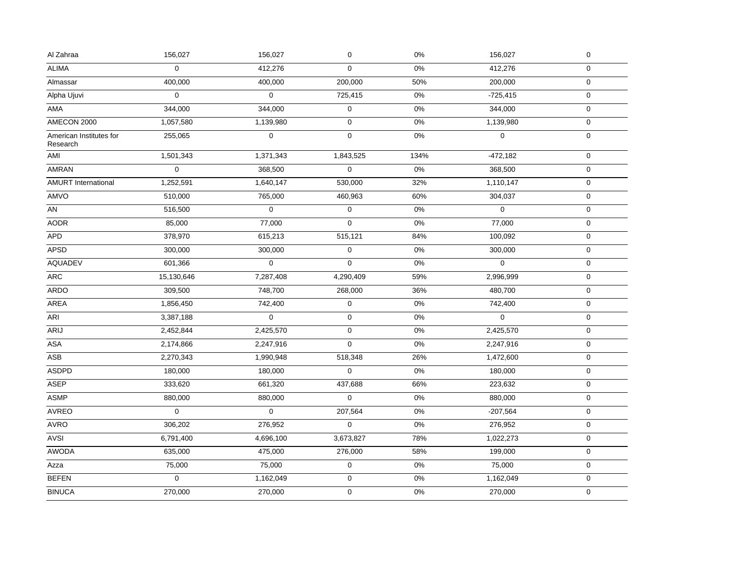| Al Zahraa                           | 156,027          | 156,027     | $\pmb{0}$        | $0\%$ | 156,027      | $\pmb{0}$    |
|-------------------------------------|------------------|-------------|------------------|-------|--------------|--------------|
| <b>ALIMA</b>                        | $\boldsymbol{0}$ | 412,276     | $\mathbf 0$      | $0\%$ | 412,276      | $\mathbf 0$  |
| Almassar                            | 400,000          | 400,000     | 200,000          | 50%   | 200,000      | $\mathsf{O}$ |
| Alpha Ujuvi                         | $\mathbf 0$      | $\mathbf 0$ | 725,415          | 0%    | $-725,415$   | $\mathsf{O}$ |
| AMA                                 | 344,000          | 344,000     | $\boldsymbol{0}$ | 0%    | 344,000      | $\mathbf 0$  |
| AMECON 2000                         | 1,057,580        | 1,139,980   | $\boldsymbol{0}$ | $0\%$ | 1,139,980    | $\mathsf{O}$ |
| American Institutes for<br>Research | 255,065          | 0           | $\mathbf 0$      | 0%    | 0            | $\mathbf 0$  |
| AMI                                 | 1,501,343        | 1,371,343   | 1,843,525        | 134%  | $-472,182$   | $\mathsf{O}$ |
| AMRAN                               | $\mathbf 0$      | 368,500     | $\boldsymbol{0}$ | 0%    | 368,500      | $\mathbf 0$  |
| <b>AMURT</b> International          | 1,252,591        | 1,640,147   | 530,000          | 32%   | 1,110,147    | $\mathbf 0$  |
| AMVO                                | 510,000          | 765,000     | 460,963          | 60%   | 304,037      | 0            |
| AN                                  | 516,500          | $\mathbf 0$ | $\mathbf 0$      | $0\%$ | $\mathbf{0}$ | $\mathsf{O}$ |
| <b>AODR</b>                         | 85,000           | 77,000      | $\Omega$         | 0%    | 77,000       | $\mathsf{O}$ |
| <b>APD</b>                          | 378,970          | 615,213     | 515,121          | 84%   | 100,092      | $\mathbf 0$  |
| <b>APSD</b>                         | 300,000          | 300,000     | $\mathbf 0$      | 0%    | 300,000      | $\mathbf 0$  |
| <b>AQUADEV</b>                      | 601,366          | $\mathsf 0$ | $\mathbf 0$      | $0\%$ | $\mathbf{0}$ | $\mathbf 0$  |
| ARC                                 | 15,130,646       | 7,287,408   | 4,290,409        | 59%   | 2,996,999    | 0            |
| <b>ARDO</b>                         | 309,500          | 748,700     | 268,000          | 36%   | 480,700      | $\mathbf 0$  |
| AREA                                | 1,856,450        | 742,400     | $\pmb{0}$        | $0\%$ | 742,400      | $\mathbf 0$  |
| <b>ARI</b>                          | 3,387,188        | $\mathbf 0$ | $\mathbf 0$      | $0\%$ | $\Omega$     | $\mathbf 0$  |
| ARIJ                                | 2,452,844        | 2,425,570   | $\mathbf 0$      | $0\%$ | 2,425,570    | $\mathbf{0}$ |
| ASA                                 | 2,174,866        | 2,247,916   | $\Omega$         | $0\%$ | 2,247,916    | $\mathbf 0$  |
| ASB                                 | 2,270,343        | 1,990,948   | 518,348          | 26%   | 1,472,600    | $\mathsf{O}$ |
| <b>ASDPD</b>                        | 180,000          | 180,000     | $\mathbf 0$      | $0\%$ | 180,000      | $\mathbf 0$  |
| <b>ASEP</b>                         | 333,620          | 661,320     | 437,688          | 66%   | 223,632      | $\mathsf{O}$ |
| <b>ASMP</b>                         | 880,000          | 880,000     | 0                | 0%    | 880,000      | $\pmb{0}$    |
| AVREO                               | $\mathbf 0$      | $\mathbf 0$ | 207,564          | $0\%$ | $-207,564$   | $\mathsf{O}$ |
| AVRO                                | 306,202          | 276,952     | $\boldsymbol{0}$ | 0%    | 276,952      | $\mathsf{O}$ |
| <b>AVSI</b>                         | 6,791,400        | 4,696,100   | 3,673,827        | 78%   | 1,022,273    | $\mathbf 0$  |
| <b>AWODA</b>                        | 635,000          | 475,000     | 276,000          | 58%   | 199,000      | 0            |
| Azza                                | 75,000           | 75,000      | $\mathbf 0$      | $0\%$ | 75,000       | $\mathbf 0$  |
| <b>BEFEN</b>                        | $\mathbf 0$      | 1,162,049   | $\pmb{0}$        | $0\%$ | 1,162,049    | 0            |
| <b>BINUCA</b>                       | 270,000          | 270,000     | $\pmb{0}$        | $0\%$ | 270,000      | $\mathbf 0$  |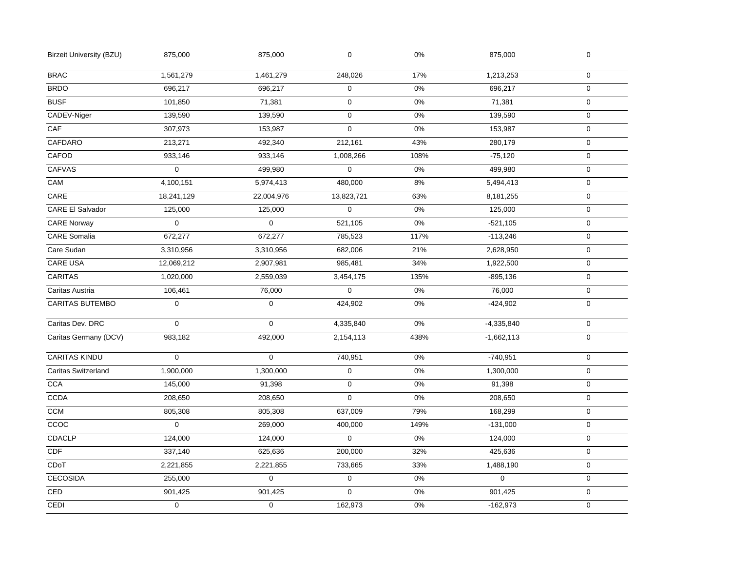| <b>Birzeit University (BZU)</b> | 875,000             | 875,000     | $\boldsymbol{0}$    | $0\%$ | 875,000      | $\mathbf 0$ |  |
|---------------------------------|---------------------|-------------|---------------------|-------|--------------|-------------|--|
| <b>BRAC</b>                     | 1,561,279           | 1,461,279   | 248,026             | 17%   | 1,213,253    | $\mathbf 0$ |  |
| <b>BRDO</b>                     | 696,217             | 696,217     | $\pmb{0}$           | 0%    | 696,217      | $\mathbf 0$ |  |
| <b>BUSF</b>                     | 101,850             | 71,381      | $\pmb{0}$           | $0\%$ | 71,381       | $\mathbf 0$ |  |
| CADEV-Niger                     | 139,590             | 139,590     | $\mathbf 0$         | 0%    | 139,590      | $\mathbf 0$ |  |
| $\overline{CAF}$                | 307,973             | 153,987     | 0                   | 0%    | 153,987      | $\mathbf 0$ |  |
| CAFDARO                         | 213,271             | 492,340     | 212,161             | 43%   | 280,179      | $\mathbf 0$ |  |
| CAFOD                           | 933,146             | 933,146     | 1,008,266           | 108%  | $-75,120$    | $\mathbf 0$ |  |
| <b>CAFVAS</b>                   | $\mathbf 0$         | 499,980     | $\pmb{0}$           | 0%    | 499,980      | $\mathbf 0$ |  |
| CAM                             | 4,100,151           | 5,974,413   | 480,000             | 8%    | 5,494,413    | $\pmb{0}$   |  |
| CARE                            | 18,241,129          | 22,004,976  | 13,823,721          | 63%   | 8,181,255    | $\mathbf 0$ |  |
| <b>CARE El Salvador</b>         | 125,000             | 125,000     | $\overline{0}$      | 0%    | 125,000      | $\mathbf 0$ |  |
| <b>CARE Norway</b>              | $\mathbf 0$         | $\mathbf 0$ | 521,105             | $0\%$ | $-521,105$   | $\pmb{0}$   |  |
| <b>CARE</b> Somalia             | 672,277             | 672,277     | 785,523             | 117%  | $-113,246$   | $\mathbf 0$ |  |
| Care Sudan                      | 3,310,956           | 3,310,956   | 682,006             | 21%   | 2,628,950    | $\pmb{0}$   |  |
| <b>CARE USA</b>                 | 12,069,212          | 2,907,981   | 985,481             | 34%   | 1,922,500    | $\pmb{0}$   |  |
| <b>CARITAS</b>                  | 1,020,000           | 2,559,039   | 3,454,175           | 135%  | $-895,136$   | $\mathbf 0$ |  |
| Caritas Austria                 | 106,461             | 76,000      | $\mathsf 0$         | $0\%$ | 76,000       | $\mathbf 0$ |  |
| <b>CARITAS BUTEMBO</b>          | $\mathbf 0$         | $\mathbf 0$ | 424,902             | $0\%$ | $-424,902$   | $\mathsf 0$ |  |
| Caritas Dev. DRC                | $\mathbf 0$         | $\mathbf 0$ | 4,335,840           | 0%    | $-4,335,840$ | $\mathbf 0$ |  |
| Caritas Germany (DCV)           | 983,182             | 492,000     | 2,154,113           | 438%  | $-1,662,113$ | $\mathbf 0$ |  |
| <b>CARITAS KINDU</b>            | $\mathbf{0}$        | $\mathbf 0$ | 740,951             | 0%    | $-740,951$   | $\mathbf 0$ |  |
| <b>Caritas Switzerland</b>      | 1,900,000           | 1,300,000   | $\pmb{0}$           | 0%    | 1,300,000    | $\mathbf 0$ |  |
| <b>CCA</b>                      | 145,000             | 91,398      | $\pmb{0}$           | 0%    | 91,398       | $\pmb{0}$   |  |
| CCDA                            | 208,650             | 208,650     | $\mathsf 0$         | 0%    | 208,650      | $\mathbf 0$ |  |
| <b>CCM</b>                      | 805,308             | 805,308     | 637,009             | 79%   | 168,299      | 0           |  |
| CCOC                            | $\mathsf{O}\xspace$ | 269,000     | 400,000             | 149%  | $-131,000$   | $\pmb{0}$   |  |
| <b>CDACLP</b>                   | 124,000             | 124,000     | $\mathbf{0}$        | 0%    | 124,000      | $\mathbf 0$ |  |
| CDF                             | 337,140             | 625,636     | 200,000             | 32%   | 425,636      | $\mathbf 0$ |  |
| CDoT                            | 2,221,855           | 2,221,855   | 733,665             | 33%   | 1,488,190    | $\pmb{0}$   |  |
| <b>CECOSIDA</b>                 | 255,000             | $\mathbf 0$ | $\mathsf{O}\xspace$ | 0%    | $\mathbf{0}$ | $\mathbf 0$ |  |
| CED                             | 901,425             | 901,425     | $\mathbf 0$         | $0\%$ | 901,425      | 0           |  |
| CEDI                            | $\mathsf{O}\xspace$ | $\mathbf 0$ | 162,973             | $0\%$ | $-162,973$   | $\mathbf 0$ |  |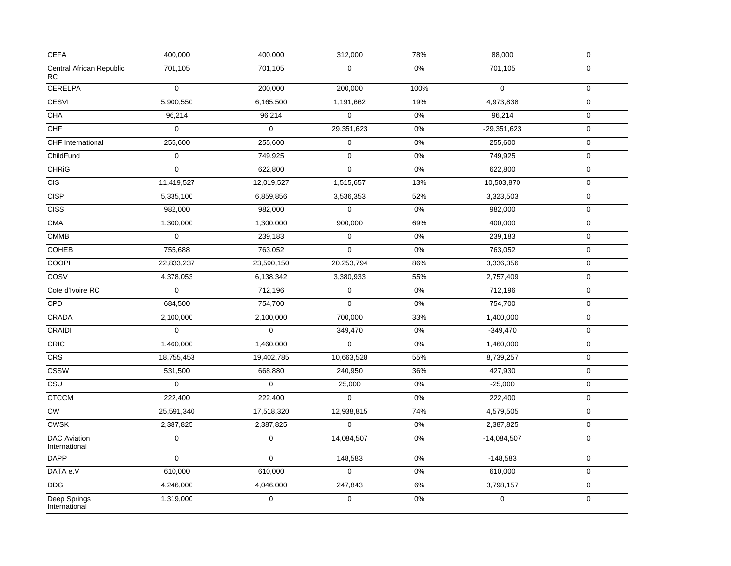| CEFA                                 | 400,000             | 400,000     | 312,000               | 78%   | 88,000        | $\pmb{0}$           |
|--------------------------------------|---------------------|-------------|-----------------------|-------|---------------|---------------------|
| Central African Republic<br>RC       | 701,105             | 701,105     | $\mathbf 0$           | 0%    | 701,105       | $\mathbf 0$         |
| <b>CERELPA</b>                       | $\mathbf 0$         | 200,000     | 200,000               | 100%  | $\mathbf 0$   | $\mathbf 0$         |
| <b>CESVI</b>                         | 5,900,550           | 6,165,500   | 1,191,662             | 19%   | 4,973,838     | $\mathbf 0$         |
| <b>CHA</b>                           | 96,214              | 96,214      | $\overline{\text{o}}$ | 0%    | 96,214        | $\mathbf 0$         |
| CHF                                  | $\mathbf{0}$        | $\mathbf 0$ | 29,351,623            | 0%    | $-29,351,623$ | $\mathbf 0$         |
| <b>CHF</b> International             | 255,600             | 255,600     | 0                     | 0%    | 255,600       | $\pmb{0}$           |
| ChildFund                            | $\pmb{0}$           | 749,925     | $\pmb{0}$             | 0%    | 749,925       | $\mathsf{O}\xspace$ |
| <b>CHRIG</b>                         | $\mathsf{O}\xspace$ | 622,800     | $\mathsf 0$           | 0%    | 622,800       | $\mathbf 0$         |
| <b>CIS</b>                           | 11,419,527          | 12,019,527  | 1,515,657             | 13%   | 10,503,870    | $\mathbf 0$         |
| <b>CISP</b>                          | 5,335,100           | 6,859,856   | 3,536,353             | 52%   | 3,323,503     | $\pmb{0}$           |
| <b>CISS</b>                          | 982,000             | 982,000     | $\mathbf 0$           | 0%    | 982,000       | $\mathbf 0$         |
| <b>CMA</b>                           | 1,300,000           | 1,300,000   | 900,000               | 69%   | 400,000       | $\pmb{0}$           |
| <b>CMMB</b>                          | $\mathbf 0$         | 239,183     | 0                     | 0%    | 239,183       | $\pmb{0}$           |
| <b>COHEB</b>                         | 755,688             | 763,052     | 0                     | 0%    | 763,052       | $\mathbf 0$         |
| <b>COOPI</b>                         | 22,833,237          | 23,590,150  | 20,253,794            | 86%   | 3,336,356     | $\mathbf 0$         |
| COSV                                 | 4,378,053           | 6,138,342   | 3,380,933             | 55%   | 2,757,409     | $\mathsf{O}\xspace$ |
| Cote d'Ivoire RC                     | $\mathbf 0$         | 712,196     | $\pmb{0}$             | 0%    | 712,196       | $\mathsf{O}\xspace$ |
| CPD                                  | 684,500             | 754,700     | $\Omega$              | 0%    | 754,700       | $\mathbf 0$         |
| CRADA                                | 2,100,000           | 2,100,000   | 700,000               | 33%   | 1,400,000     | 0                   |
| <b>CRAIDI</b>                        | $\mathbf 0$         | $\mathbf 0$ | 349,470               | 0%    | $-349,470$    | $\pmb{0}$           |
| CRIC                                 | 1,460,000           | 1,460,000   | $\mathsf 0$           | $0\%$ | 1,460,000     | $\mathsf{O}\xspace$ |
| CRS                                  | 18,755,453          | 19,402,785  | 10,663,528            | 55%   | 8,739,257     | $\mathbf 0$         |
| <b>CSSW</b>                          | 531,500             | 668,880     | 240,950               | 36%   | 427,930       | $\mathsf{O}\xspace$ |
| $\overline{\text{c}$ su              | 0                   | 0           | 25,000                | 0%    | $-25,000$     | $\mathbf 0$         |
| <b>CTCCM</b>                         | 222,400             | 222,400     | $\Omega$              | 0%    | 222,400       | $\mathsf{O}\xspace$ |
| ${\sf\small CW}$                     | 25,591,340          | 17,518,320  | 12,938,815            | 74%   | 4,579,505     | $\pmb{0}$           |
| CWSK                                 | 2,387,825           | 2,387,825   | 0                     | 0%    | 2,387,825     | $\mathbf 0$         |
| <b>DAC Aviation</b><br>International | $\mathbf 0$         | $\mathbf 0$ | 14,084,507            | 0%    | $-14,084,507$ | $\mathbf 0$         |
| <b>DAPP</b>                          | $\mathbf 0$         | $\mathbf 0$ | 148,583               | 0%    | $-148,583$    | $\pmb{0}$           |
| DATA e.V                             | 610,000             | 610,000     | $\mathsf 0$           | 0%    | 610,000       | $\mathbf 0$         |
| $\overline{DDG}$                     | 4,246,000           | 4,046,000   | 247,843               | 6%    | 3,798,157     | $\mathbf 0$         |
| Deep Springs<br>International        | 1,319,000           | $\mathbf 0$ | 0                     | $0\%$ | $\mathbf 0$   | $\mathbf 0$         |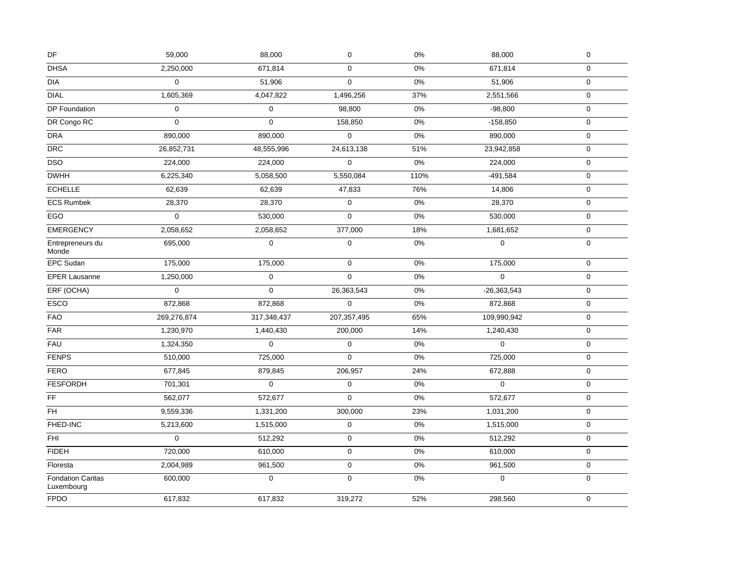| DF                                     | 59,000      | 88,000              | $\mathbf 0$         | $0\%$ | 88,000        | $\pmb{0}$           |
|----------------------------------------|-------------|---------------------|---------------------|-------|---------------|---------------------|
| <b>DHSA</b>                            | 2,250,000   | 671,814             | $\mathbf 0$         | 0%    | 671,814       | $\mathbf 0$         |
| <b>DIA</b>                             | $\mathbf 0$ | 51,906              | $\mathbf 0$         | 0%    | 51,906        | $\mathbf 0$         |
| <b>DIAL</b>                            | 1,605,369   | 4,047,822           | 1,496,256           | 37%   | 2,551,566     | $\mathbf 0$         |
| DP Foundation                          | $\mathbf 0$ | $\mathbf 0$         | 98,800              | 0%    | $-98,800$     | $\mathbf 0$         |
| DR Congo RC                            | $\mathbf 0$ | $\mathbf 0$         | 158,850             | 0%    | $-158,850$    | $\mathbf 0$         |
| <b>DRA</b>                             | 890,000     | 890,000             | $\mathbf 0$         | 0%    | 890,000       | 0                   |
| $\ensuremath{\mathsf{DRC}}$            | 26,852,731  | 48,555,996          | 24,613,138          | 51%   | 23,942,858    | $\pmb{0}$           |
| DSO                                    | 224,000     | 224,000             | 0                   | 0%    | 224,000       | $\mathbf 0$         |
| <b>DWHH</b>                            | 6,225,340   | 5,058,500           | 5,550,084           | 110%  | $-491,584$    | $\pmb{0}$           |
| <b>ECHELLE</b>                         | 62,639      | 62,639              | 47,833              | 76%   | 14,806        | $\mathbf 0$         |
| <b>ECS Rumbek</b>                      | 28,370      | 28,370              | $\mathbf 0$         | 0%    | 28,370        | 0                   |
| EGO                                    | $\mathbf 0$ | 530,000             | $\mathsf{O}\xspace$ | 0%    | 530,000       | $\mathbf 0$         |
| <b>EMERGENCY</b>                       | 2,058,652   | 2,058,652           | 377,000             | 18%   | 1,681,652     | $\mathbf 0$         |
| Entrepreneurs du<br>Monde              | 695,000     | $\mathbf 0$         | $\mathbf 0$         | 0%    | $\mathbf 0$   | $\mathbf 0$         |
| EPC Sudan                              | 175,000     | 175,000             | $\mathbf 0$         | 0%    | 175,000       | $\mathbf 0$         |
| <b>EPER Lausanne</b>                   | 1,250,000   | $\mathbf 0$         | $\mathbf 0$         | 0%    | $\Omega$      | 0                   |
| ERF (OCHA)                             | $\mathbf 0$ | $\mathbf 0$         | 26,363,543          | $0\%$ | $-26,363,543$ | $\mathbf 0$         |
| ESCO                                   | 872,868     | 872,868             | $\mathbf 0$         | 0%    | 872,868       | $\mathbf 0$         |
| <b>FAO</b>                             | 269,276,874 | 317,348,437         | 207, 357, 495       | 65%   | 109,990,942   | $\mathbf 0$         |
| ${\sf FAR}$                            | 1,230,970   | 1,440,430           | 200,000             | 14%   | 1,240,430     | $\mathbf 0$         |
| <b>FAU</b>                             | 1,324,350   | $\mathbf{0}$        | 0                   | 0%    | $\mathbf 0$   | 0                   |
| <b>FENPS</b>                           | 510,000     | 725,000             | $\mathbf{0}$        | 0%    | 725,000       | $\mathsf 0$         |
| <b>FERO</b>                            | 677,845     | 879,845             | 206,957             | 24%   | 672,888       | $\mathbf 0$         |
| <b>FESFORDH</b>                        | 701,301     | $\mathbf 0$         | $\pmb{0}$           | 0%    | $\mathbf 0$   | 0                   |
| FF                                     | 562,077     | 572,677             | $\mathsf{O}\xspace$ | 0%    | 572,677       | $\mathsf{O}\xspace$ |
| FH.                                    | 9,559,336   | 1,331,200           | 300,000             | 23%   | 1,031,200     | $\mathbf 0$         |
| FHED-INC                               | 5,213,600   | 1,515,000           | $\mathbf 0$         | 0%    | 1,515,000     | 0                   |
| FHI                                    | $\mathbf 0$ | 512,292             | $\pmb{0}$           | 0%    | 512,292       | 0                   |
| <b>FIDEH</b>                           | 720,000     | 610,000             | $\mathbf 0$         | $0\%$ | 610,000       | $\mathbf 0$         |
| Floresta                               | 2,004,989   | 961,500             | $\mathbf 0$         | $0\%$ | 961,500       | $\mathbf 0$         |
| <b>Fondation Caritas</b><br>Luxembourg | 600,000     | $\mathsf{O}\xspace$ | $\mathbf 0$         | $0\%$ | $\mathbf 0$   | $\mathbf 0$         |
| <b>FPDO</b>                            | 617,832     | 617,832             | 319,272             | 52%   | 298,560       | 0                   |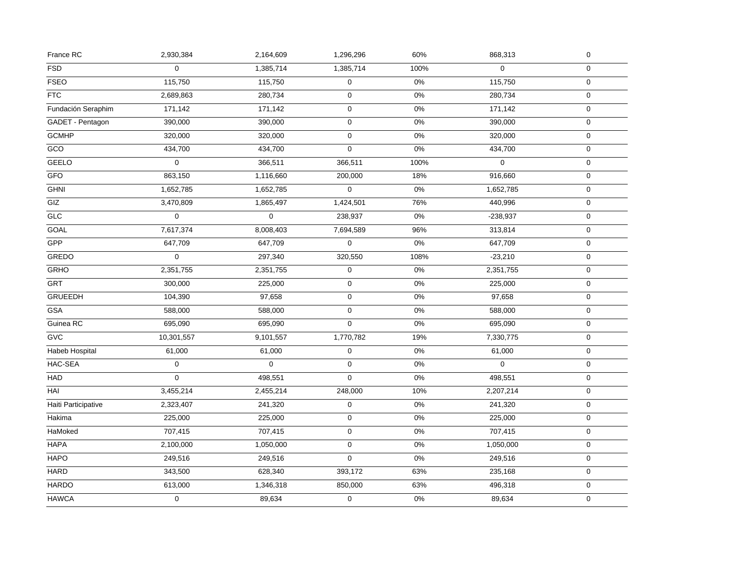| France RC           | 2,930,384   | 2,164,609   | 1,296,296   | 60%   | 868,313     | $\pmb{0}$        |
|---------------------|-------------|-------------|-------------|-------|-------------|------------------|
| <b>FSD</b>          | 0           | 1,385,714   | 1,385,714   | 100%  | $\mathbf 0$ | $\mathbf 0$      |
| <b>FSEO</b>         | 115,750     | 115,750     | $\mathbf 0$ | $0\%$ | 115,750     | $\mathbf 0$      |
| <b>FTC</b>          | 2,689,863   | 280,734     | 0           | 0%    | 280,734     | $\mathbf 0$      |
| Fundación Seraphim  | 171,142     | 171,142     | 0           | 0%    | 171,142     | $\mathbf 0$      |
| GADET - Pentagon    | 390,000     | 390,000     | 0           | $0\%$ | 390,000     | $\mathbf 0$      |
| <b>GCMHP</b>        | 320,000     | 320,000     | $\pmb{0}$   | $0\%$ | 320,000     | $\pmb{0}$        |
| GCO                 | 434,700     | 434,700     | $\mathsf 0$ | 0%    | 434,700     | $\mathbf 0$      |
| GEELO               | 0           | 366,511     | 366,511     | 100%  | $\mathbf 0$ | $\mathbf 0$      |
| GFO                 | 863,150     | 1,116,660   | 200,000     | 18%   | 916,660     | $\mathbf 0$      |
| <b>GHNI</b>         | 1,652,785   | 1,652,785   | $\Omega$    | $0\%$ | 1,652,785   | $\mathbf 0$      |
| GIZ                 | 3,470,809   | 1,865,497   | 1,424,501   | 76%   | 440,996     | $\mathbf 0$      |
| <b>GLC</b>          | $\mathbf 0$ | $\mathbf 0$ | 238,937     | $0\%$ | $-238,937$  | $\pmb{0}$        |
| GOAL                | 7,617,374   | 8,008,403   | 7,694,589   | 96%   | 313,814     | $\mathbf 0$      |
| GPP                 | 647,709     | 647,709     | 0           | $0\%$ | 647,709     | $\pmb{0}$        |
| <b>GREDO</b>        | $\Omega$    | 297,340     | 320,550     | 108%  | $-23,210$   | $\mathbf 0$      |
| <b>GRHO</b>         | 2,351,755   | 2,351,755   | $\pmb{0}$   | 0%    | 2,351,755   | $\boldsymbol{0}$ |
| GRT                 | 300,000     | 225,000     | $\pmb{0}$   | $0\%$ | 225,000     | $\pmb{0}$        |
| <b>GRUEEDH</b>      | 104,390     | 97,658      | $\mathbf 0$ | $0\%$ | 97,658      | $\pmb{0}$        |
| <b>GSA</b>          | 588,000     | 588,000     | $\mathbf 0$ | 0%    | 588,000     | $\mathbf 0$      |
| Guinea RC           | 695,090     | 695,090     | $\mathbf 0$ | $0\%$ | 695,090     | $\mathbf 0$      |
| <b>GVC</b>          | 10,301,557  | 9,101,557   | 1,770,782   | 19%   | 7,330,775   | $\mathbf 0$      |
| Habeb Hospital      | 61,000      | 61,000      | $\pmb{0}$   | 0%    | 61,000      | $\pmb{0}$        |
| HAC-SEA             | $\pmb{0}$   | $\mathbf 0$ | $\mathbf 0$ | $0\%$ | $\mathbf 0$ | $\pmb{0}$        |
| <b>HAD</b>          | 0           | 498,551     | $\mathbf 0$ | 0%    | 498,551     | $\boldsymbol{0}$ |
| HAI                 | 3,455,214   | 2,455,214   | 248,000     | 10%   | 2,207,214   | $\mathbf 0$      |
| Haiti Participative | 2,323,407   | 241,320     | 0           | $0\%$ | 241,320     | $\boldsymbol{0}$ |
| Hakima              | 225,000     | 225,000     | 0           | 0%    | 225,000     | $\pmb{0}$        |
| HaMoked             | 707,415     | 707,415     | $\mathbf 0$ | 0%    | 707,415     | $\mathbf 0$      |
| <b>HAPA</b>         | 2,100,000   | 1,050,000   | $\mathbf 0$ | $0\%$ | 1,050,000   | $\mathbf 0$      |
| <b>HAPO</b>         | 249,516     | 249,516     | $\mathsf 0$ | $0\%$ | 249,516     | $\mathbf 0$      |
| <b>HARD</b>         | 343,500     | 628,340     | 393,172     | 63%   | 235,168     | $\mathbf 0$      |
| <b>HARDO</b>        | 613,000     | 1,346,318   | 850,000     | 63%   | 496,318     | $\mathbf 0$      |
| <b>HAWCA</b>        | 0           | 89,634      | 0           | 0%    | 89,634      | $\mathbf 0$      |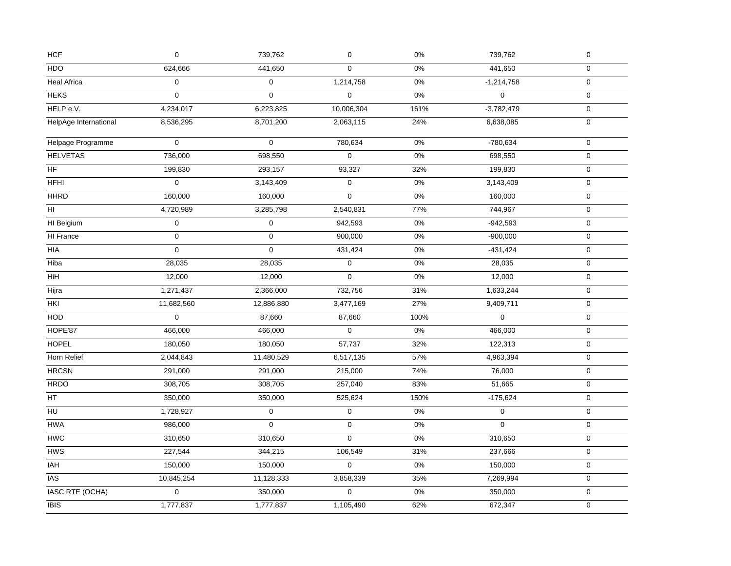| HCF                    | $\mathbf 0$         | 739,762             | $\pmb{0}$   | $0\%$ | 739,762          | $\mathbf 0$         |  |
|------------------------|---------------------|---------------------|-------------|-------|------------------|---------------------|--|
| HDO                    | 624,666             | 441,650             | $\Omega$    | 0%    | 441,650          | $\mathbf 0$         |  |
| <b>Heal Africa</b>     | $\mathbf 0$         | $\mathbf 0$         | 1,214,758   | $0\%$ | $-1,214,758$     | $\mathbf 0$         |  |
| <b>HEKS</b>            | $\mathbf 0$         | $\mathbf{0}$        | 0           | $0\%$ | $\pmb{0}$        | $\mathbf 0$         |  |
| HELP e.V.              | 4,234,017           | 6,223,825           | 10,006,304  | 161%  | $-3,782,479$     | $\mathbf 0$         |  |
| HelpAge International  | 8,536,295           | 8,701,200           | 2,063,115   | 24%   | 6,638,085        | $\mathsf{O}$        |  |
| Helpage Programme      | $\mathsf{O}\xspace$ | $\mathbf 0$         | 780,634     | $0\%$ | -780,634         | $\pmb{0}$           |  |
| <b>HELVETAS</b>        | 736,000             | 698,550             | $\mathbf 0$ | $0\%$ | 698,550          | $\mathsf{O}\xspace$ |  |
| ${\sf HF}$             | 199,830             | 293,157             | 93,327      | 32%   | 199,830          | $\mathbf 0$         |  |
| <b>HFHI</b>            | $\mathbf 0$         | 3,143,409           | $\mathsf 0$ | 0%    | 3,143,409        | $\mathbf 0$         |  |
| <b>HHRD</b>            | 160,000             | 160,000             | $\mathbf 0$ | $0\%$ | 160,000          | $\mathbf 0$         |  |
| HI.                    | 4,720,989           | 3,285,798           | 2,540,831   | 77%   | 744,967          | 0                   |  |
| HI Belgium             | 0                   | $\pmb{0}$           | 942,593     | 0%    | $-942,593$       | $\mathbf 0$         |  |
| <b>HI France</b>       | $\pmb{0}$           | $\mathsf{O}\xspace$ | 900,000     | $0\%$ | $-900,000$       | $\mathsf{O}\xspace$ |  |
| HIA                    | $\mathbf 0$         | 0                   | 431,424     | 0%    | $-431,424$       | $\mathbf 0$         |  |
| Hiba                   | 28,035              | 28,035              | $\pmb{0}$   | $0\%$ | 28,035           | $\mathbf 0$         |  |
| HiH                    | 12,000              | 12,000              | 0           | $0\%$ | 12,000           | $\mathbf 0$         |  |
| Hijra                  | 1,271,437           | 2,366,000           | 732,756     | 31%   | 1,633,244        | 0                   |  |
| HKI                    | 11,682,560          | 12,886,880          | 3,477,169   | 27%   | 9,409,711        | $\mathbf 0$         |  |
| HOD                    | $\pmb{0}$           | 87,660              | 87,660      | 100%  | $\boldsymbol{0}$ | $\mathsf{O}\xspace$ |  |
| HOPE'87                | 466,000             | 466,000             | $\pmb{0}$   | 0%    | 466,000          | $\mathbf 0$         |  |
| <b>HOPEL</b>           | 180,050             | 180,050             | 57,737      | 32%   | 122,313          | 0                   |  |
| Horn Relief            | 2,044,843           | 11,480,529          | 6,517,135   | 57%   | 4,963,394        | $\mathbf 0$         |  |
| <b>HRCSN</b>           | 291,000             | 291,000             | 215,000     | 74%   | 76,000           | $\mathbf 0$         |  |
| <b>HRDO</b>            | 308,705             | 308,705             | 257,040     | 83%   | 51,665           | 0                   |  |
| HT                     | 350,000             | 350,000             | 525,624     | 150%  | $-175,624$       | $\mathbf 0$         |  |
| H <sub>U</sub>         | 1,728,927           | $\mathbf 0$         | $\pmb{0}$   | $0\%$ | $\pmb{0}$        | $\mathbf 0$         |  |
| <b>HWA</b>             | 986,000             | $\mathsf{O}$        | $\pmb{0}$   | $0\%$ | $\pmb{0}$        | $\mathsf{O}\xspace$ |  |
| ${\sf HWC}$            | 310,650             | 310,650             | $\mathsf 0$ | $0\%$ | 310,650          | $\mathbf 0$         |  |
| <b>HWS</b>             | 227,544             | 344,215             | 106,549     | 31%   | 237,666          | 0                   |  |
| IAH                    | 150,000             | 150,000             | 0           | $0\%$ | 150,000          | $\mathsf{O}\xspace$ |  |
| <b>IAS</b>             | 10,845,254          | 11,128,333          | 3,858,339   | 35%   | 7,269,994        | $\mathbf 0$         |  |
| <b>IASC RTE (OCHA)</b> | $\mathbf 0$         | 350,000             | $\pmb{0}$   | 0%    | 350,000          | $\mathbf 0$         |  |
| <b>IBIS</b>            | 1,777,837           | 1,777,837           | 1,105,490   | 62%   | 672,347          | $\mathsf{O}$        |  |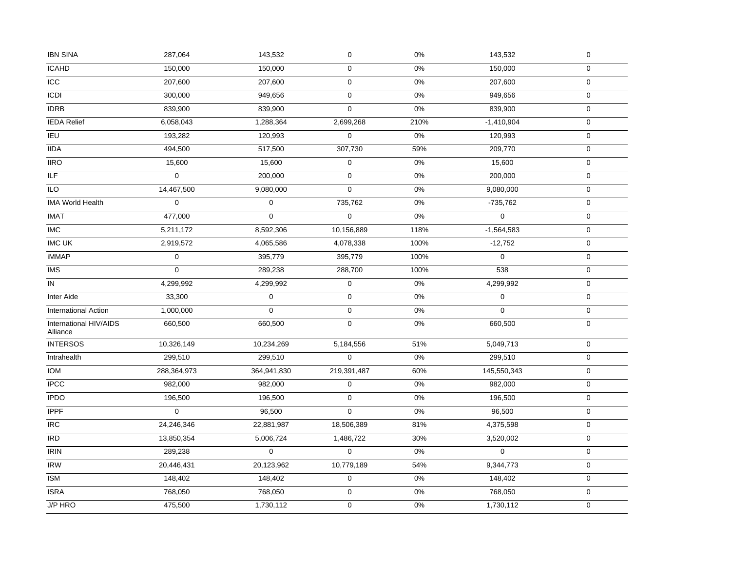| <b>IBN SINA</b>                    | 287,064      | 143,532             | $\mathbf 0$ | 0%    | 143,532      | $\pmb{0}$        |
|------------------------------------|--------------|---------------------|-------------|-------|--------------|------------------|
| <b>ICAHD</b>                       | 150,000      | 150,000             | $\mathbf 0$ | 0%    | 150,000      | $\boldsymbol{0}$ |
| <b>ICC</b>                         | 207,600      | 207,600             | $\pmb{0}$   | 0%    | 207,600      | $\mathbf 0$      |
| <b>ICDI</b>                        | 300,000      | 949,656             | $\pmb{0}$   | $0\%$ | 949,656      | $\pmb{0}$        |
| <b>IDRB</b>                        | 839,900      | 839,900             | $\mathbf 0$ | 0%    | 839,900      | $\mathbf 0$      |
| <b>IEDA</b> Relief                 | 6,058,043    | 1,288,364           | 2,699,268   | 210%  | $-1,410,904$ | $\pmb{0}$        |
| <b>IEU</b>                         | 193,282      | 120,993             | $\mathbf 0$ | $0\%$ | 120,993      | $\boldsymbol{0}$ |
| <b>IIDA</b>                        | 494,500      | 517,500             | 307,730     | 59%   | 209,770      | $\mathbf 0$      |
| <b>IIRO</b>                        | 15,600       | 15,600              | 0           | 0%    | 15,600       | $\pmb{0}$        |
| ILF                                | $\mathbf 0$  | 200,000             | $\mathbf 0$ | 0%    | 200,000      | $\pmb{0}$        |
| <b>ILO</b>                         | 14,467,500   | 9,080,000           | 0           | $0\%$ | 9,080,000    | $\pmb{0}$        |
| IMA World Health                   | $\mathbf 0$  | $\pmb{0}$           | 735,762     | 0%    | $-735,762$   | $\boldsymbol{0}$ |
| <b>IMAT</b>                        | 477,000      | $\mathsf{O}\xspace$ | $\pmb{0}$   | 0%    | $\Omega$     | $\pmb{0}$        |
| <b>IMC</b>                         | 5,211,172    | 8,592,306           | 10,156,889  | 118%  | $-1,564,583$ | $\boldsymbol{0}$ |
| <b>IMC UK</b>                      | 2,919,572    | 4,065,586           | 4,078,338   | 100%  | $-12,752$    | $\boldsymbol{0}$ |
| <b>iMMAP</b>                       | $\mathbf 0$  | 395,779             | 395,779     | 100%  | $\mathbf 0$  | $\pmb{0}$        |
| <b>IMS</b>                         | $\mathbf 0$  | 289,238             | 288,700     | 100%  | 538          | $\mathbf 0$      |
| IN                                 | 4,299,992    | 4,299,992           | $\mathbf 0$ | 0%    | 4,299,992    | $\mathbf 0$      |
| Inter Aide                         | 33,300       | $\mathbf 0$         | $\mathbf 0$ | 0%    | $\mathbf 0$  | $\boldsymbol{0}$ |
| <b>International Action</b>        | 1,000,000    | $\mathbf 0$         | $\mathbf 0$ | $0\%$ | $\Omega$     | $\mathbf 0$      |
| International HIV/AIDS<br>Alliance | 660,500      | 660,500             | 0           | $0\%$ | 660,500      | $\boldsymbol{0}$ |
| <b>INTERSOS</b>                    | 10,326,149   | 10,234,269          | 5,184,556   | 51%   | 5,049,713    | $\mathsf 0$      |
| Intrahealth                        | 299,510      | 299,510             | $\mathbf 0$ | 0%    | 299,510      | $\mathbf 0$      |
| <b>IOM</b>                         | 288,364,973  | 364,941,830         | 219,391,487 | 60%   | 145,550,343  | 0                |
| <b>IPCC</b>                        | 982,000      | 982,000             | $\mathbf 0$ | 0%    | 982,000      | $\mathbf 0$      |
| <b>IPDO</b>                        | 196,500      | 196,500             | $\mathbf 0$ | 0%    | 196,500      | $\mathbf 0$      |
| <b>IPPF</b>                        | $\mathbf{0}$ | 96,500              | $\mathbf 0$ | 0%    | 96,500       | $\boldsymbol{0}$ |
| <b>IRC</b>                         | 24,246,346   | 22,881,987          | 18,506,389  | 81%   | 4,375,598    | $\mathbf 0$      |
| <b>IRD</b>                         | 13,850,354   | 5,006,724           | 1,486,722   | 30%   | 3,520,002    | $\pmb{0}$        |
| <b>IRIN</b>                        | 289,238      | $\mathbf 0$         | $\mathbf 0$ | 0%    | $\mathbf 0$  | $\pmb{0}$        |
| <b>IRW</b>                         | 20,446,431   | 20,123,962          | 10,779,189  | 54%   | 9,344,773    | $\pmb{0}$        |
| <b>ISM</b>                         | 148,402      | 148,402             | $\pmb{0}$   | 0%    | 148,402      | $\boldsymbol{0}$ |
| <b>ISRA</b>                        | 768,050      | 768,050             | $\pmb{0}$   | $0\%$ | 768,050      | $\pmb{0}$        |
| J/P HRO                            | 475,500      | 1,730,112           | 0           | $0\%$ | 1,730,112    | $\boldsymbol{0}$ |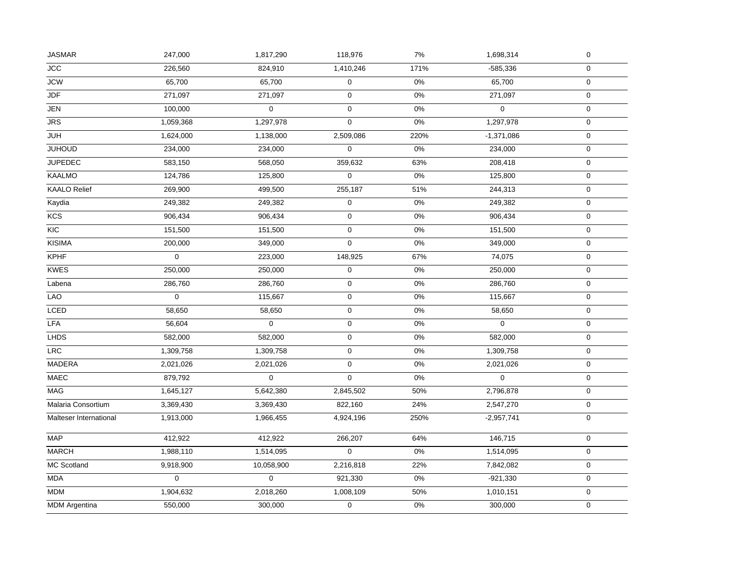| <b>JCC</b><br><b>JCW</b><br>JDF<br><b>JEN</b> | 226,560<br>65,700<br>271,097<br>100,000<br>1,059,368 | 824,910<br>65,700<br>271,097<br>$\mathbf{0}$ | 1,410,246<br>$\mathbf 0$<br>$\mathbf 0$ | 171%<br>0%<br>0% | $-585,336$<br>65,700 | $\pmb{0}$<br>$\mathbf 0$ |
|-----------------------------------------------|------------------------------------------------------|----------------------------------------------|-----------------------------------------|------------------|----------------------|--------------------------|
|                                               |                                                      |                                              |                                         |                  |                      |                          |
|                                               |                                                      |                                              |                                         |                  |                      |                          |
|                                               |                                                      |                                              |                                         |                  | 271,097              | $\pmb{0}$                |
|                                               |                                                      |                                              | $\mathbf 0$                             | 0%               | $\mathbf 0$          | $\boldsymbol{0}$         |
| $\overline{JRS}$                              |                                                      | 1,297,978                                    | $\mathbf 0$                             | 0%               | 1,297,978            | $\pmb{0}$                |
| <b>JUH</b>                                    | 1,624,000                                            | 1,138,000                                    | 2,509,086                               | 220%             | $-1,371,086$         | $\boldsymbol{0}$         |
| <b>JUHOUD</b>                                 | 234,000                                              | 234,000                                      | 0                                       | 0%               | 234,000              | $\mathbf 0$              |
| <b>JUPEDEC</b>                                | 583,150                                              | 568,050                                      | 359,632                                 | 63%              | 208,418              | $\pmb{0}$                |
| <b>KAALMO</b>                                 | 124,786                                              | 125,800                                      | $\mathbf 0$                             | 0%               | 125,800              | $\mathbf 0$              |
| <b>KAALO Relief</b>                           | 269,900                                              | 499,500                                      | 255,187                                 | 51%              | 244,313              | $\pmb{0}$                |
| Kaydia                                        | 249,382                                              | 249,382                                      | $\mathsf 0$                             | $0\%$            | 249,382              | $\mathsf 0$              |
| KCS                                           | 906,434                                              | 906,434                                      | $\mathbf 0$                             | 0%               | 906,434              | $\mathbf 0$              |
| KIC                                           | 151,500                                              | 151,500                                      | $\mathsf 0$                             | 0%               | 151,500              | $\boldsymbol{0}$         |
| <b>KISIMA</b>                                 | 200,000                                              | 349,000                                      | 0                                       | 0%               | 349,000              | $\pmb{0}$                |
| <b>KPHF</b>                                   | $\mathbf 0$                                          | 223,000                                      | 148,925                                 | 67%              | 74,075               | $\pmb{0}$                |
| <b>KWES</b>                                   | 250,000                                              | 250,000                                      | $\mathbf 0$                             | $0\%$            | 250,000              | $\pmb{0}$                |
| Labena                                        | 286,760                                              | 286,760                                      | $\mathbf 0$                             | $0\%$            | 286,760              | $\boldsymbol{0}$         |
| LAO                                           | $\mathbf 0$                                          | 115,667                                      | $\mathsf 0$                             | 0%               | 115,667              | $\mathsf 0$              |
| <b>LCED</b>                                   | 58,650                                               | 58,650                                       | $\mathbf 0$                             | 0%               | 58,650               | $\mathbf 0$              |
| <b>LFA</b>                                    | 56,604                                               | 0                                            | $\pmb{0}$                               | 0%               | $\mathbf 0$          | $\mathbf 0$              |
| <b>LHDS</b>                                   | 582,000                                              | 582,000                                      | $\pmb{0}$                               | 0%               | 582,000              | $\pmb{0}$                |
| LRC                                           | 1,309,758                                            | 1,309,758                                    | $\pmb{0}$                               | 0%               | 1,309,758            | 0                        |
| MADERA                                        | 2,021,026                                            | 2,021,026                                    | $\mathbf 0$                             | 0%               | 2,021,026            | $\pmb{0}$                |
| <b>MAEC</b>                                   | 879,792                                              | $\mathbf 0$                                  | $\mathbf 0$                             | 0%               | $\mathbf 0$          | $\pmb{0}$                |
| MAG                                           | 1,645,127                                            | 5,642,380                                    | 2,845,502                               | 50%              | 2,796,878            | $\pmb{0}$                |
| Malaria Consortium                            | 3,369,430                                            | 3,369,430                                    | 822,160                                 | 24%              | 2,547,270            | $\mathsf 0$              |
| Malteser International                        | 1,913,000                                            | 1,966,455                                    | 4,924,196                               | 250%             | $-2,957,741$         | $\mathbf 0$              |
| MAP                                           | 412,922                                              | 412,922                                      | 266,207                                 | 64%              | 146,715              | $\pmb{0}$                |
| <b>MARCH</b>                                  | 1,988,110                                            | 1,514,095                                    | $\mathbf 0$                             | 0%               | 1,514,095            | $\pmb{0}$                |
| MC Scotland                                   | 9,918,900                                            | 10,058,900                                   | 2,216,818                               | 22%              | 7,842,082            | $\pmb{0}$                |
| <b>MDA</b>                                    | $\mathbf 0$                                          | $\mathbf 0$                                  | 921,330                                 | 0%               | $-921,330$           | $\pmb{0}$                |
| <b>MDM</b>                                    | 1,904,632                                            | 2,018,260                                    | 1,008,109                               | 50%              | 1,010,151            | $\pmb{0}$                |
| <b>MDM</b> Argentina                          | 550,000                                              | 300,000                                      | $\mathbf 0$                             | $0\%$            | 300,000              | $\boldsymbol{0}$         |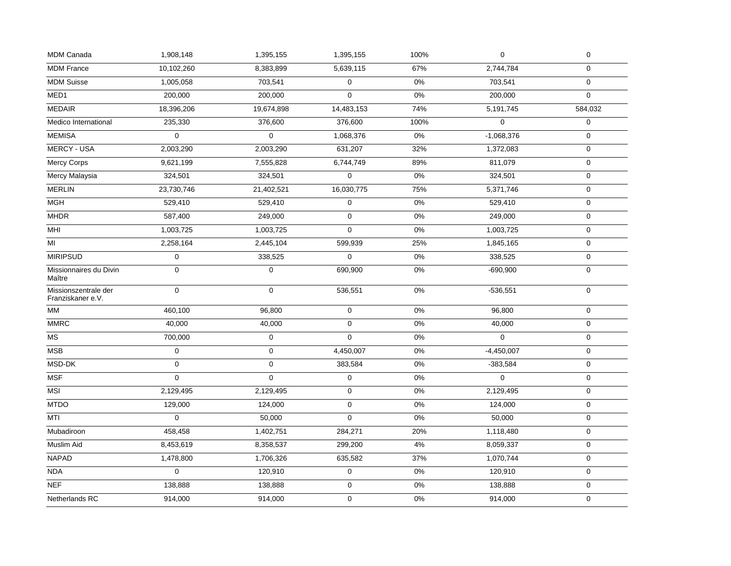| <b>MDM Canada</b>                         | 1,908,148           | 1,395,155           | 1,395,155   | 100%  | $\mathsf 0$  | $\pmb{0}$        |
|-------------------------------------------|---------------------|---------------------|-------------|-------|--------------|------------------|
| <b>MDM</b> France                         | 10,102,260          | 8,383,899           | 5,639,115   | 67%   | 2,744,784    | $\mathbf 0$      |
| <b>MDM Suisse</b>                         | 1,005,058           | 703,541             | $\pmb{0}$   | $0\%$ | 703,541      | $\mathbf 0$      |
| MED <sub>1</sub>                          | 200,000             | 200,000             | $\Omega$    | $0\%$ | 200,000      | $\mathbf 0$      |
| <b>MEDAIR</b>                             | 18,396,206          | 19,674,898          | 14,483,153  | 74%   | 5,191,745    | 584,032          |
| Medico International                      | 235,330             | 376,600             | 376,600     | 100%  | $\mathbf 0$  | $\mathbf 0$      |
| <b>MEMISA</b>                             | $\mathbf 0$         | $\mathbf 0$         | 1,068,376   | 0%    | $-1,068,376$ | $\pmb{0}$        |
| <b>MERCY - USA</b>                        | 2,003,290           | 2,003,290           | 631,207     | 32%   | 1,372,083    | $\pmb{0}$        |
| <b>Mercy Corps</b>                        | 9,621,199           | 7,555,828           | 6,744,749   | 89%   | 811,079      | $\boldsymbol{0}$ |
| Mercy Malaysia                            | 324,501             | 324,501             | $\mathsf 0$ | $0\%$ | 324,501      | $\boldsymbol{0}$ |
| <b>MERLIN</b>                             | 23,730,746          | 21,402,521          | 16,030,775  | 75%   | 5,371,746    | $\boldsymbol{0}$ |
| <b>MGH</b>                                | 529,410             | 529,410             | 0           | 0%    | 529,410      | $\mathbf 0$      |
| <b>MHDR</b>                               | 587,400             | 249,000             | $\mathbf 0$ | $0\%$ | 249,000      | $\pmb{0}$        |
| MHI                                       | 1,003,725           | 1,003,725           | 0           | $0\%$ | 1,003,725    | 0                |
| M <sub>l</sub>                            | 2,258,164           | 2,445,104           | 599,939     | 25%   | 1,845,165    | $\boldsymbol{0}$ |
| <b>MIRIPSUD</b>                           | $\mathbf 0$         | 338,525             | $\mathbf 0$ | $0\%$ | 338,525      | $\mathbf 0$      |
| Missionnaires du Divin<br>Maître          | $\mathbf 0$         | $\boldsymbol{0}$    | 690,900     | 0%    | $-690,900$   | $\boldsymbol{0}$ |
| Missionszentrale der<br>Franziskaner e.V. | $\mathbf 0$         | $\mathbf 0$         | 536,551     | 0%    | $-536,551$   | $\mathbf 0$      |
| <b>MM</b>                                 | 460,100             | 96,800              | $\mathbf 0$ | 0%    | 96,800       | $\mathbf 0$      |
| <b>MMRC</b>                               | 40,000              | 40,000              | $\mathbf 0$ | 0%    | 40,000       | $\mathbf 0$      |
| MS                                        | 700,000             | $\mathsf{O}\xspace$ | 0           | $0\%$ | $\mathbf 0$  | $\pmb{0}$        |
| <b>MSB</b>                                | $\mathsf{O}\xspace$ | $\mathbf 0$         | 4,450,007   | 0%    | $-4,450,007$ | $\mathbf 0$      |
| MSD-DK                                    | $\mathbf 0$         | $\mathsf 0$         | 383,584     | $0\%$ | $-383,584$   | $\mathbf 0$      |
| <b>MSF</b>                                | $\mathbf 0$         | $\boldsymbol{0}$    | 0           | 0%    | $\Omega$     | $\boldsymbol{0}$ |
| <b>MSI</b>                                | 2,129,495           | 2,129,495           | $\mathbf 0$ | 0%    | 2,129,495    | $\mathbf 0$      |
| <b>MTDO</b>                               | 129,000             | 124,000             | 0           | $0\%$ | 124,000      | $\mathbf 0$      |
| MTI                                       | $\mathbf 0$         | 50,000              | $\mathbf 0$ | 0%    | 50,000       | $\mathbf 0$      |
| Mubadiroon                                | 458,458             | 1,402,751           | 284,271     | 20%   | 1,118,480    | $\pmb{0}$        |
| Muslim Aid                                | 8,453,619           | 8,358,537           | 299,200     | $4\%$ | 8,059,337    | $\pmb{0}$        |
| <b>NAPAD</b>                              | 1,478,800           | 1,706,326           | 635,582     | 37%   | 1,070,744    | $\boldsymbol{0}$ |
| <b>NDA</b>                                | $\Omega$            | 120,910             | $\pmb{0}$   | $0\%$ | 120,910      | $\pmb{0}$        |
| <b>NEF</b>                                | 138,888             | 138,888             | 0           | 0%    | 138,888      | $\mathbf 0$      |
| Netherlands RC                            | 914,000             | 914,000             | 0           | 0%    | 914,000      | $\boldsymbol{0}$ |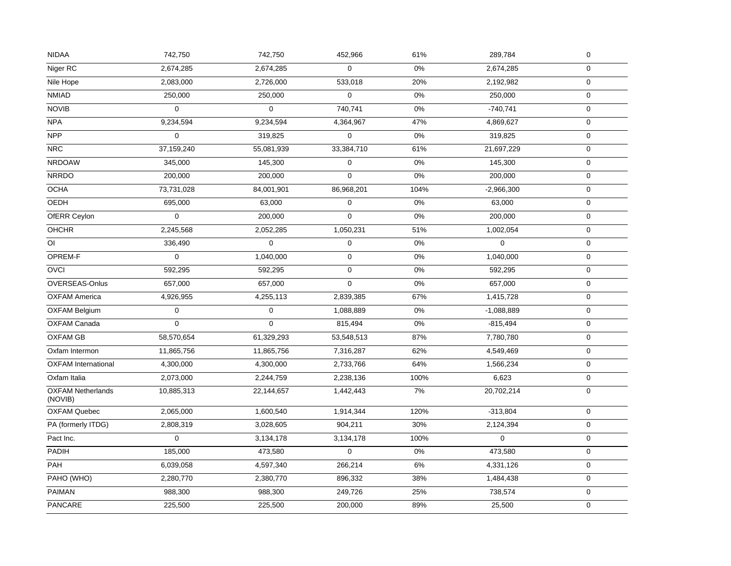| <b>NIDAA</b>                        | 742,750     | 742,750     | 452,966     | 61%   | 289,784      | $\mathbf 0$  |
|-------------------------------------|-------------|-------------|-------------|-------|--------------|--------------|
| Niger RC                            | 2,674,285   | 2,674,285   | $\mathbf 0$ | 0%    | 2,674,285    | $\mathbf 0$  |
| Nile Hope                           | 2,083,000   | 2,726,000   | 533,018     | 20%   | 2,192,982    | $\mathsf 0$  |
| <b>NMIAD</b>                        | 250,000     | 250,000     | $\mathbf 0$ | 0%    | 250,000      | $\mathbf 0$  |
| <b>NOVIB</b>                        | $\Omega$    | $\Omega$    | 740,741     | $0\%$ | $-740,741$   | $\mathbf 0$  |
| <b>NPA</b>                          | 9,234,594   | 9,234,594   | 4,364,967   | 47%   | 4,869,627    | 0            |
| <b>NPP</b>                          | $\mathbf 0$ | 319,825     | $\mathbf 0$ | 0%    | 319,825      | $\mathbf 0$  |
| <b>NRC</b>                          | 37,159,240  | 55,081,939  | 33,384,710  | 61%   | 21,697,229   | $\mathbf 0$  |
| <b>NRDOAW</b>                       | 345,000     | 145,300     | $\pmb{0}$   | $0\%$ | 145,300      | $\mathbf 0$  |
| <b>NRRDO</b>                        | 200,000     | 200,000     | $\mathbf 0$ | 0%    | 200,000      | $\mathbf 0$  |
| <b>OCHA</b>                         | 73,731,028  | 84,001,901  | 86,968,201  | 104%  | $-2,966,300$ | $\mathsf{O}$ |
| <b>OEDH</b>                         | 695,000     | 63,000      | $\mathbf 0$ | 0%    | 63,000       | $\mathbf 0$  |
| OfERR Ceylon                        | $\Omega$    | 200,000     | $\Omega$    | 0%    | 200,000      | $\mathbf 0$  |
| <b>OHCHR</b>                        | 2,245,568   | 2,052,285   | 1,050,231   | 51%   | 1,002,054    | 0            |
| $\overline{O}$                      | 336,490     | $\mathbf 0$ | $\mathbf 0$ | 0%    | $\Omega$     | $\mathbf 0$  |
| OPREM-F                             | $\mathbf 0$ | 1,040,000   | $\mathbf 0$ | 0%    | 1,040,000    | $\mathbf 0$  |
| OVCI                                | 592,295     | 592,295     | $\mathbf 0$ | 0%    | 592,295      | $\mathbf 0$  |
| OVERSEAS-Onlus                      | 657,000     | 657,000     | $\mathbf 0$ | 0%    | 657,000      | $\mathsf 0$  |
| <b>OXFAM America</b>                | 4,926,955   | 4,255,113   | 2,839,385   | 67%   | 1,415,728    | $\mathbf 0$  |
| <b>OXFAM Belgium</b>                | $\mathbf 0$ | $\mathbf 0$ | 1,088,889   | 0%    | $-1,088,889$ | $\mathbf 0$  |
| OXFAM Canada                        | $\mathbf 0$ | $\mathbf 0$ | 815,494     | $0\%$ | $-815,494$   | $\mathbf 0$  |
| <b>OXFAM GB</b>                     | 58,570,654  | 61,329,293  | 53,548,513  | 87%   | 7,780,780    | $\mathbf 0$  |
| Oxfam Intermon                      | 11,865,756  | 11,865,756  | 7,316,287   | 62%   | 4,549,469    | $\mathbf 0$  |
| <b>OXFAM</b> International          | 4,300,000   | 4,300,000   | 2,733,766   | 64%   | 1,566,234    | 0            |
| Oxfam Italia                        | 2,073,000   | 2,244,759   | 2,238,136   | 100%  | 6,623        | $\mathbf 0$  |
| <b>OXFAM Netherlands</b><br>(NOVIB) | 10,885,313  | 22,144,657  | 1,442,443   | 7%    | 20,702,214   | $\mathbf 0$  |
| <b>OXFAM Quebec</b>                 | 2,065,000   | 1,600,540   | 1,914,344   | 120%  | $-313,804$   | $\mathbf 0$  |
| PA (formerly ITDG)                  | 2,808,319   | 3,028,605   | 904,211     | 30%   | 2,124,394    | 0            |
| Pact Inc.                           | $\mathbf 0$ | 3,134,178   | 3,134,178   | 100%  | $\Omega$     | $\mathbf 0$  |
| PADIH                               | 185,000     | 473,580     | $\mathbf 0$ | 0%    | 473,580      | 0            |
| <b>PAH</b>                          | 6,039,058   | 4,597,340   | 266,214     | $6\%$ | 4,331,126    | 0            |
| PAHO (WHO)                          | 2,280,770   | 2,380,770   | 896,332     | 38%   | 1,484,438    | 0            |
| <b>PAIMAN</b>                       | 988,300     | 988,300     | 249,726     | 25%   | 738,574      | $\mathbf 0$  |
| PANCARE                             | 225,500     | 225,500     | 200,000     | 89%   | 25,500       | $\mathsf{O}$ |
|                                     |             |             |             |       |              |              |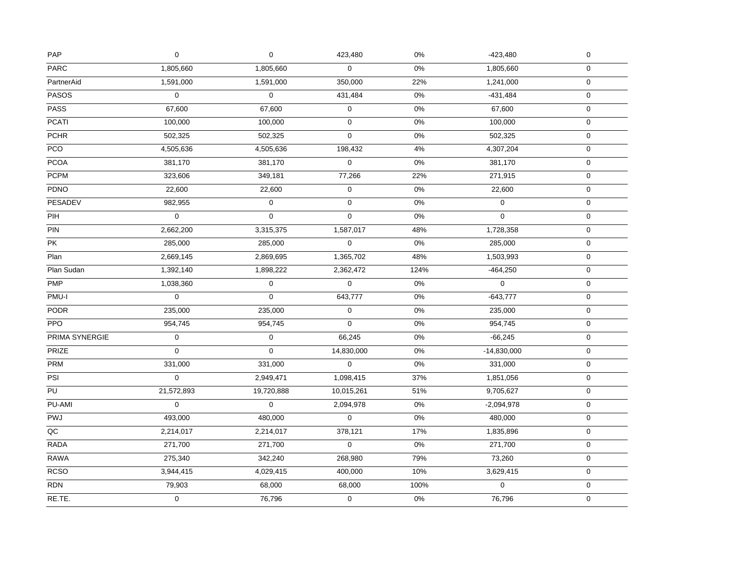| PAP             | $\pmb{0}$           | $\mathbf 0$ | 423,480     | $0\%$ | $-423,480$    | $\pmb{0}$           |
|-----------------|---------------------|-------------|-------------|-------|---------------|---------------------|
| <b>PARC</b>     | 1,805,660           | 1,805,660   | $\mathbf 0$ | 0%    | 1,805,660     | $\mathsf{O}$        |
| PartnerAid      | 1,591,000           | 1,591,000   | 350,000     | 22%   | 1,241,000     | $\mathbf 0$         |
| <b>PASOS</b>    | $\Omega$            | $\mathbf 0$ | 431,484     | $0\%$ | $-431,484$    | $\pmb{0}$           |
| <b>PASS</b>     | 67,600              | 67,600      | $\mathbf 0$ | $0\%$ | 67,600        | $\mathbf 0$         |
| <b>PCATI</b>    | 100,000             | 100,000     | $\pmb{0}$   | 0%    | 100,000       | $\mathbf 0$         |
| <b>PCHR</b>     | 502,325             | 502,325     | $\mathsf 0$ | $0\%$ | 502,325       | $\pmb{0}$           |
| PCO             | 4,505,636           | 4,505,636   | 198,432     | $4\%$ | 4,307,204     | $\pmb{0}$           |
| <b>PCOA</b>     | 381,170             | 381,170     | $\mathsf 0$ | $0\%$ | 381,170       | $\pmb{0}$           |
| <b>PCPM</b>     | 323,606             | 349,181     | 77,266      | 22%   | 271,915       | 0                   |
| PDNO            | 22,600              | 22,600      | $\pmb{0}$   | $0\%$ | 22,600        | $\mathbf 0$         |
| <b>PESADEV</b>  | 982,955             | $\pmb{0}$   | $\mathbf 0$ | $0\%$ | $\mathbf 0$   | $\mathsf 0$         |
| PIH             | $\mathsf{O}\xspace$ | $\mathbf 0$ | $\mathbf 0$ | $0\%$ | $\mathbf 0$   | $\mathbf 0$         |
| PIN             | 2,662,200           | 3,315,375   | 1,587,017   | 48%   | 1,728,358     | $\mathbf 0$         |
| PK              | 285,000             | 285,000     | $\mathsf 0$ | $0\%$ | 285,000       | $\pmb{0}$           |
| Plan            | 2,669,145           | 2,869,695   | 1,365,702   | 48%   | 1,503,993     | $\mathsf{O}\xspace$ |
| Plan Sudan      | 1,392,140           | 1,898,222   | 2,362,472   | 124%  | $-464,250$    | $\boldsymbol{0}$    |
| <b>PMP</b>      | 1,038,360           | $\pmb{0}$   | $\mathbf 0$ | 0%    | $\mathbf 0$   | $\pmb{0}$           |
| PMU-I           | $\pmb{0}$           | $\mathbf 0$ | 643,777     | $0\%$ | $-643,777$    | $\pmb{0}$           |
| <b>PODR</b>     | 235,000             | 235,000     | $\pmb{0}$   | $0\%$ | 235,000       | $\pmb{0}$           |
| <b>PPO</b>      | 954,745             | 954,745     | $\Omega$    | $0\%$ | 954,745       | $\pmb{0}$           |
| PRIMA SYNERGIE  | 0                   | $\mathbf 0$ | 66,245      | 0%    | $-66,245$     | $\mathbf 0$         |
| PRIZE           | $\mathbf 0$         | $\mathbf 0$ | 14,830,000  | $0\%$ | $-14,830,000$ | $\pmb{0}$           |
| <b>PRM</b>      | 331,000             | 331,000     | $\mathbf 0$ | $0\%$ | 331,000       | $\mathbf 0$         |
| PSI             | $\mathbf 0$         | 2,949,471   | 1,098,415   | 37%   | 1,851,056     | $\mathbf 0$         |
| $\overline{PU}$ | 21,572,893          | 19,720,888  | 10,015,261  | 51%   | 9,705,627     | $\pmb{0}$           |
| PU-AMI          | $\mathbf 0$         | $\mathbf 0$ | 2,094,978   | 0%    | $-2,094,978$  | 0                   |
| PWJ             | 493,000             | 480,000     | $\mathbf 0$ | $0\%$ | 480,000       | $\boldsymbol{0}$    |
| $\overline{OC}$ | 2,214,017           | 2,214,017   | 378,121     | 17%   | 1,835,896     | $\pmb{0}$           |
| RADA            | 271,700             | 271,700     | $\pmb{0}$   | $0\%$ | 271,700       | $\mathbf 0$         |
| <b>RAWA</b>     | 275,340             | 342,240     | 268,980     | 79%   | 73,260        | $\mathbf 0$         |
| <b>RCSO</b>     | 3,944,415           | 4,029,415   | 400,000     | 10%   | 3,629,415     | $\pmb{0}$           |
| <b>RDN</b>      | 79,903              | 68,000      | 68,000      | 100%  | $\Omega$      | $\boldsymbol{0}$    |
| RE.TE.          | 0                   | 76,796      | $\mathbf 0$ | 0%    | 76,796        | $\mathbf 0$         |
|                 |                     |             |             |       |               |                     |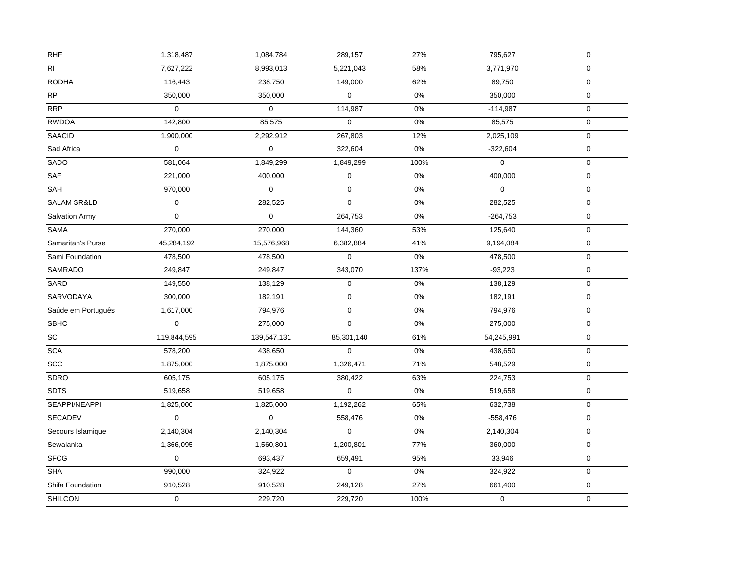| R <sub>l</sub><br>7,627,222<br>8,993,013<br>5,221,043<br>58%<br>$\mathbf 0$<br>3,771,970<br><b>RODHA</b><br>116,443<br>62%<br>238,750<br>149,000<br>89,750<br>$\mathbf 0$<br>$\overline{RP}$<br>350,000<br>350,000<br>$\mathbf 0$<br>$0\%$<br>$\pmb{0}$<br>350,000<br>RRP<br>$\Omega$<br>$\Omega$<br>114,987<br>0%<br>$-114,987$<br>$\mathbf 0$<br><b>RWDOA</b><br>142,800<br>85,575<br>$\mathbf 0$<br>0%<br>85,575<br>$\mathbf 0$<br><b>SAACID</b><br>12%<br>1,900,000<br>2,292,912<br>267,803<br>2,025,109<br>$\pmb{0}$<br>Sad Africa<br>$\pmb{0}$<br>$\pmb{0}$<br>322,604<br>$0\%$<br>$\pmb{0}$<br>$-322,604$<br>SADO<br>581,064<br>1,849,299<br>1,849,299<br>100%<br>$\mathbf 0$<br>$\Omega$<br><b>SAF</b><br>$0\%$<br>221,000<br>400,000<br>$\mathbf 0$<br>400,000<br>0<br><b>SAH</b><br>$\mathbf 0$<br>$0\%$<br>970,000<br>0<br>$\Omega$<br>$\mathbf 0$<br><b>SALAM SR&amp;LD</b><br>$\mathbf 0$<br>$0\%$<br>$\mathsf 0$<br>0<br>282,525<br>282,525<br>Salvation Army<br>$\boldsymbol{0}$<br>$\mathbf 0$<br>264,753<br>$0\%$<br>$-264,753$<br>$\mathbf 0$<br>SAMA<br>270,000<br>270,000<br>144,360<br>53%<br>125,640<br>$\mathbf 0$<br>Samaritan's Purse<br>45,284,192<br>41%<br>15,576,968<br>6,382,884<br>9,194,084<br>$\pmb{0}$<br>Sami Foundation<br>$\Omega$<br>$0\%$<br>$\mathsf 0$<br>478,500<br>478,500<br>478,500<br><b>SAMRADO</b><br>249,847<br>249,847<br>343,070<br>137%<br>$-93,223$<br>$\boldsymbol{0}$<br>SARD<br>149,550<br>138,129<br>$\pmb{0}$<br>0%<br>138,129<br>$\pmb{0}$<br>SARVODAYA<br>300,000<br>$0\%$<br>182,191<br>182,191<br>0<br>$\pmb{0}$<br>Saúde em Português<br>1,617,000<br>794,976<br>$\mathbf 0$<br>$0\%$<br>794,976<br>$\pmb{0}$<br><b>SBHC</b><br>$\Omega$<br>$\Omega$<br>$0\%$<br>$\mathbf 0$<br>275,000<br>275,000<br>SC<br>61%<br>119,844,595<br>85,301,140<br>$\mathbf 0$<br>139,547,131<br>54,245,991<br><b>SCA</b><br>$\mathbf 0$<br>0%<br>$\mathbf 0$<br>578,200<br>438,650<br>438,650<br>$\overline{SCC}$<br>1,875,000<br>1,875,000<br>71%<br>548,529<br>$\mathbf 0$<br>1,326,471<br>SDRO<br>605,175<br>605,175<br>63%<br>224,753<br>380,422<br>$\mathbf 0$<br><b>SDTS</b><br>519,658<br>$\mathbf 0$<br>$0\%$<br>519,658<br>519,658<br>$\mathbf 0$<br>SEAPPI/NEAPPI<br>1,825,000<br>1,192,262<br>65%<br>632,738<br>1,825,000<br>0<br><b>SECADEV</b><br>0<br>$\mathbf 0$<br>0%<br>$\boldsymbol{0}$<br>558,476<br>$-558,476$<br>Secours Islamique<br>2,140,304<br>2,140,304<br>0<br>0%<br>2,140,304<br>$\pmb{0}$<br>Sewalanka<br>77%<br>1,366,095<br>1,560,801<br>1,200,801<br>360,000<br>$\mathbf 0$<br><b>SFCG</b><br>$\mathbf 0$<br>95%<br>$\mathbf 0$<br>693,437<br>659,491<br>33,946<br><b>SHA</b><br>990,000<br>$\Omega$<br>$0\%$<br>$\pmb{0}$<br>324,922<br>324,922<br>27%<br>Shifa Foundation<br>910,528<br>910,528<br>249,128<br>661,400<br>$\boldsymbol{0}$<br><b>SHILCON</b><br>0<br>$\mathbf 0$<br>229,720<br>229,720<br>100%<br>0 | <b>RHF</b> | 1,318,487 | 1,084,784 | 289,157 | 27% | 795,627 | $\pmb{0}$ |
|---------------------------------------------------------------------------------------------------------------------------------------------------------------------------------------------------------------------------------------------------------------------------------------------------------------------------------------------------------------------------------------------------------------------------------------------------------------------------------------------------------------------------------------------------------------------------------------------------------------------------------------------------------------------------------------------------------------------------------------------------------------------------------------------------------------------------------------------------------------------------------------------------------------------------------------------------------------------------------------------------------------------------------------------------------------------------------------------------------------------------------------------------------------------------------------------------------------------------------------------------------------------------------------------------------------------------------------------------------------------------------------------------------------------------------------------------------------------------------------------------------------------------------------------------------------------------------------------------------------------------------------------------------------------------------------------------------------------------------------------------------------------------------------------------------------------------------------------------------------------------------------------------------------------------------------------------------------------------------------------------------------------------------------------------------------------------------------------------------------------------------------------------------------------------------------------------------------------------------------------------------------------------------------------------------------------------------------------------------------------------------------------------------------------------------------------------------------------------------------------------------------------------------------------------------------------------------------------------------------------------------------------------------------------------------------------------------------------------------------------------------------------------------------------------------------------------------------------------------------------------------------------------|------------|-----------|-----------|---------|-----|---------|-----------|
|                                                                                                                                                                                                                                                                                                                                                                                                                                                                                                                                                                                                                                                                                                                                                                                                                                                                                                                                                                                                                                                                                                                                                                                                                                                                                                                                                                                                                                                                                                                                                                                                                                                                                                                                                                                                                                                                                                                                                                                                                                                                                                                                                                                                                                                                                                                                                                                                                                                                                                                                                                                                                                                                                                                                                                                                                                                                                                   |            |           |           |         |     |         |           |
|                                                                                                                                                                                                                                                                                                                                                                                                                                                                                                                                                                                                                                                                                                                                                                                                                                                                                                                                                                                                                                                                                                                                                                                                                                                                                                                                                                                                                                                                                                                                                                                                                                                                                                                                                                                                                                                                                                                                                                                                                                                                                                                                                                                                                                                                                                                                                                                                                                                                                                                                                                                                                                                                                                                                                                                                                                                                                                   |            |           |           |         |     |         |           |
|                                                                                                                                                                                                                                                                                                                                                                                                                                                                                                                                                                                                                                                                                                                                                                                                                                                                                                                                                                                                                                                                                                                                                                                                                                                                                                                                                                                                                                                                                                                                                                                                                                                                                                                                                                                                                                                                                                                                                                                                                                                                                                                                                                                                                                                                                                                                                                                                                                                                                                                                                                                                                                                                                                                                                                                                                                                                                                   |            |           |           |         |     |         |           |
|                                                                                                                                                                                                                                                                                                                                                                                                                                                                                                                                                                                                                                                                                                                                                                                                                                                                                                                                                                                                                                                                                                                                                                                                                                                                                                                                                                                                                                                                                                                                                                                                                                                                                                                                                                                                                                                                                                                                                                                                                                                                                                                                                                                                                                                                                                                                                                                                                                                                                                                                                                                                                                                                                                                                                                                                                                                                                                   |            |           |           |         |     |         |           |
|                                                                                                                                                                                                                                                                                                                                                                                                                                                                                                                                                                                                                                                                                                                                                                                                                                                                                                                                                                                                                                                                                                                                                                                                                                                                                                                                                                                                                                                                                                                                                                                                                                                                                                                                                                                                                                                                                                                                                                                                                                                                                                                                                                                                                                                                                                                                                                                                                                                                                                                                                                                                                                                                                                                                                                                                                                                                                                   |            |           |           |         |     |         |           |
|                                                                                                                                                                                                                                                                                                                                                                                                                                                                                                                                                                                                                                                                                                                                                                                                                                                                                                                                                                                                                                                                                                                                                                                                                                                                                                                                                                                                                                                                                                                                                                                                                                                                                                                                                                                                                                                                                                                                                                                                                                                                                                                                                                                                                                                                                                                                                                                                                                                                                                                                                                                                                                                                                                                                                                                                                                                                                                   |            |           |           |         |     |         |           |
|                                                                                                                                                                                                                                                                                                                                                                                                                                                                                                                                                                                                                                                                                                                                                                                                                                                                                                                                                                                                                                                                                                                                                                                                                                                                                                                                                                                                                                                                                                                                                                                                                                                                                                                                                                                                                                                                                                                                                                                                                                                                                                                                                                                                                                                                                                                                                                                                                                                                                                                                                                                                                                                                                                                                                                                                                                                                                                   |            |           |           |         |     |         |           |
|                                                                                                                                                                                                                                                                                                                                                                                                                                                                                                                                                                                                                                                                                                                                                                                                                                                                                                                                                                                                                                                                                                                                                                                                                                                                                                                                                                                                                                                                                                                                                                                                                                                                                                                                                                                                                                                                                                                                                                                                                                                                                                                                                                                                                                                                                                                                                                                                                                                                                                                                                                                                                                                                                                                                                                                                                                                                                                   |            |           |           |         |     |         |           |
|                                                                                                                                                                                                                                                                                                                                                                                                                                                                                                                                                                                                                                                                                                                                                                                                                                                                                                                                                                                                                                                                                                                                                                                                                                                                                                                                                                                                                                                                                                                                                                                                                                                                                                                                                                                                                                                                                                                                                                                                                                                                                                                                                                                                                                                                                                                                                                                                                                                                                                                                                                                                                                                                                                                                                                                                                                                                                                   |            |           |           |         |     |         |           |
|                                                                                                                                                                                                                                                                                                                                                                                                                                                                                                                                                                                                                                                                                                                                                                                                                                                                                                                                                                                                                                                                                                                                                                                                                                                                                                                                                                                                                                                                                                                                                                                                                                                                                                                                                                                                                                                                                                                                                                                                                                                                                                                                                                                                                                                                                                                                                                                                                                                                                                                                                                                                                                                                                                                                                                                                                                                                                                   |            |           |           |         |     |         |           |
|                                                                                                                                                                                                                                                                                                                                                                                                                                                                                                                                                                                                                                                                                                                                                                                                                                                                                                                                                                                                                                                                                                                                                                                                                                                                                                                                                                                                                                                                                                                                                                                                                                                                                                                                                                                                                                                                                                                                                                                                                                                                                                                                                                                                                                                                                                                                                                                                                                                                                                                                                                                                                                                                                                                                                                                                                                                                                                   |            |           |           |         |     |         |           |
|                                                                                                                                                                                                                                                                                                                                                                                                                                                                                                                                                                                                                                                                                                                                                                                                                                                                                                                                                                                                                                                                                                                                                                                                                                                                                                                                                                                                                                                                                                                                                                                                                                                                                                                                                                                                                                                                                                                                                                                                                                                                                                                                                                                                                                                                                                                                                                                                                                                                                                                                                                                                                                                                                                                                                                                                                                                                                                   |            |           |           |         |     |         |           |
|                                                                                                                                                                                                                                                                                                                                                                                                                                                                                                                                                                                                                                                                                                                                                                                                                                                                                                                                                                                                                                                                                                                                                                                                                                                                                                                                                                                                                                                                                                                                                                                                                                                                                                                                                                                                                                                                                                                                                                                                                                                                                                                                                                                                                                                                                                                                                                                                                                                                                                                                                                                                                                                                                                                                                                                                                                                                                                   |            |           |           |         |     |         |           |
|                                                                                                                                                                                                                                                                                                                                                                                                                                                                                                                                                                                                                                                                                                                                                                                                                                                                                                                                                                                                                                                                                                                                                                                                                                                                                                                                                                                                                                                                                                                                                                                                                                                                                                                                                                                                                                                                                                                                                                                                                                                                                                                                                                                                                                                                                                                                                                                                                                                                                                                                                                                                                                                                                                                                                                                                                                                                                                   |            |           |           |         |     |         |           |
|                                                                                                                                                                                                                                                                                                                                                                                                                                                                                                                                                                                                                                                                                                                                                                                                                                                                                                                                                                                                                                                                                                                                                                                                                                                                                                                                                                                                                                                                                                                                                                                                                                                                                                                                                                                                                                                                                                                                                                                                                                                                                                                                                                                                                                                                                                                                                                                                                                                                                                                                                                                                                                                                                                                                                                                                                                                                                                   |            |           |           |         |     |         |           |
|                                                                                                                                                                                                                                                                                                                                                                                                                                                                                                                                                                                                                                                                                                                                                                                                                                                                                                                                                                                                                                                                                                                                                                                                                                                                                                                                                                                                                                                                                                                                                                                                                                                                                                                                                                                                                                                                                                                                                                                                                                                                                                                                                                                                                                                                                                                                                                                                                                                                                                                                                                                                                                                                                                                                                                                                                                                                                                   |            |           |           |         |     |         |           |
|                                                                                                                                                                                                                                                                                                                                                                                                                                                                                                                                                                                                                                                                                                                                                                                                                                                                                                                                                                                                                                                                                                                                                                                                                                                                                                                                                                                                                                                                                                                                                                                                                                                                                                                                                                                                                                                                                                                                                                                                                                                                                                                                                                                                                                                                                                                                                                                                                                                                                                                                                                                                                                                                                                                                                                                                                                                                                                   |            |           |           |         |     |         |           |
|                                                                                                                                                                                                                                                                                                                                                                                                                                                                                                                                                                                                                                                                                                                                                                                                                                                                                                                                                                                                                                                                                                                                                                                                                                                                                                                                                                                                                                                                                                                                                                                                                                                                                                                                                                                                                                                                                                                                                                                                                                                                                                                                                                                                                                                                                                                                                                                                                                                                                                                                                                                                                                                                                                                                                                                                                                                                                                   |            |           |           |         |     |         |           |
|                                                                                                                                                                                                                                                                                                                                                                                                                                                                                                                                                                                                                                                                                                                                                                                                                                                                                                                                                                                                                                                                                                                                                                                                                                                                                                                                                                                                                                                                                                                                                                                                                                                                                                                                                                                                                                                                                                                                                                                                                                                                                                                                                                                                                                                                                                                                                                                                                                                                                                                                                                                                                                                                                                                                                                                                                                                                                                   |            |           |           |         |     |         |           |
|                                                                                                                                                                                                                                                                                                                                                                                                                                                                                                                                                                                                                                                                                                                                                                                                                                                                                                                                                                                                                                                                                                                                                                                                                                                                                                                                                                                                                                                                                                                                                                                                                                                                                                                                                                                                                                                                                                                                                                                                                                                                                                                                                                                                                                                                                                                                                                                                                                                                                                                                                                                                                                                                                                                                                                                                                                                                                                   |            |           |           |         |     |         |           |
|                                                                                                                                                                                                                                                                                                                                                                                                                                                                                                                                                                                                                                                                                                                                                                                                                                                                                                                                                                                                                                                                                                                                                                                                                                                                                                                                                                                                                                                                                                                                                                                                                                                                                                                                                                                                                                                                                                                                                                                                                                                                                                                                                                                                                                                                                                                                                                                                                                                                                                                                                                                                                                                                                                                                                                                                                                                                                                   |            |           |           |         |     |         |           |
|                                                                                                                                                                                                                                                                                                                                                                                                                                                                                                                                                                                                                                                                                                                                                                                                                                                                                                                                                                                                                                                                                                                                                                                                                                                                                                                                                                                                                                                                                                                                                                                                                                                                                                                                                                                                                                                                                                                                                                                                                                                                                                                                                                                                                                                                                                                                                                                                                                                                                                                                                                                                                                                                                                                                                                                                                                                                                                   |            |           |           |         |     |         |           |
|                                                                                                                                                                                                                                                                                                                                                                                                                                                                                                                                                                                                                                                                                                                                                                                                                                                                                                                                                                                                                                                                                                                                                                                                                                                                                                                                                                                                                                                                                                                                                                                                                                                                                                                                                                                                                                                                                                                                                                                                                                                                                                                                                                                                                                                                                                                                                                                                                                                                                                                                                                                                                                                                                                                                                                                                                                                                                                   |            |           |           |         |     |         |           |
|                                                                                                                                                                                                                                                                                                                                                                                                                                                                                                                                                                                                                                                                                                                                                                                                                                                                                                                                                                                                                                                                                                                                                                                                                                                                                                                                                                                                                                                                                                                                                                                                                                                                                                                                                                                                                                                                                                                                                                                                                                                                                                                                                                                                                                                                                                                                                                                                                                                                                                                                                                                                                                                                                                                                                                                                                                                                                                   |            |           |           |         |     |         |           |
|                                                                                                                                                                                                                                                                                                                                                                                                                                                                                                                                                                                                                                                                                                                                                                                                                                                                                                                                                                                                                                                                                                                                                                                                                                                                                                                                                                                                                                                                                                                                                                                                                                                                                                                                                                                                                                                                                                                                                                                                                                                                                                                                                                                                                                                                                                                                                                                                                                                                                                                                                                                                                                                                                                                                                                                                                                                                                                   |            |           |           |         |     |         |           |
|                                                                                                                                                                                                                                                                                                                                                                                                                                                                                                                                                                                                                                                                                                                                                                                                                                                                                                                                                                                                                                                                                                                                                                                                                                                                                                                                                                                                                                                                                                                                                                                                                                                                                                                                                                                                                                                                                                                                                                                                                                                                                                                                                                                                                                                                                                                                                                                                                                                                                                                                                                                                                                                                                                                                                                                                                                                                                                   |            |           |           |         |     |         |           |
|                                                                                                                                                                                                                                                                                                                                                                                                                                                                                                                                                                                                                                                                                                                                                                                                                                                                                                                                                                                                                                                                                                                                                                                                                                                                                                                                                                                                                                                                                                                                                                                                                                                                                                                                                                                                                                                                                                                                                                                                                                                                                                                                                                                                                                                                                                                                                                                                                                                                                                                                                                                                                                                                                                                                                                                                                                                                                                   |            |           |           |         |     |         |           |
|                                                                                                                                                                                                                                                                                                                                                                                                                                                                                                                                                                                                                                                                                                                                                                                                                                                                                                                                                                                                                                                                                                                                                                                                                                                                                                                                                                                                                                                                                                                                                                                                                                                                                                                                                                                                                                                                                                                                                                                                                                                                                                                                                                                                                                                                                                                                                                                                                                                                                                                                                                                                                                                                                                                                                                                                                                                                                                   |            |           |           |         |     |         |           |
|                                                                                                                                                                                                                                                                                                                                                                                                                                                                                                                                                                                                                                                                                                                                                                                                                                                                                                                                                                                                                                                                                                                                                                                                                                                                                                                                                                                                                                                                                                                                                                                                                                                                                                                                                                                                                                                                                                                                                                                                                                                                                                                                                                                                                                                                                                                                                                                                                                                                                                                                                                                                                                                                                                                                                                                                                                                                                                   |            |           |           |         |     |         |           |
|                                                                                                                                                                                                                                                                                                                                                                                                                                                                                                                                                                                                                                                                                                                                                                                                                                                                                                                                                                                                                                                                                                                                                                                                                                                                                                                                                                                                                                                                                                                                                                                                                                                                                                                                                                                                                                                                                                                                                                                                                                                                                                                                                                                                                                                                                                                                                                                                                                                                                                                                                                                                                                                                                                                                                                                                                                                                                                   |            |           |           |         |     |         |           |
|                                                                                                                                                                                                                                                                                                                                                                                                                                                                                                                                                                                                                                                                                                                                                                                                                                                                                                                                                                                                                                                                                                                                                                                                                                                                                                                                                                                                                                                                                                                                                                                                                                                                                                                                                                                                                                                                                                                                                                                                                                                                                                                                                                                                                                                                                                                                                                                                                                                                                                                                                                                                                                                                                                                                                                                                                                                                                                   |            |           |           |         |     |         |           |
|                                                                                                                                                                                                                                                                                                                                                                                                                                                                                                                                                                                                                                                                                                                                                                                                                                                                                                                                                                                                                                                                                                                                                                                                                                                                                                                                                                                                                                                                                                                                                                                                                                                                                                                                                                                                                                                                                                                                                                                                                                                                                                                                                                                                                                                                                                                                                                                                                                                                                                                                                                                                                                                                                                                                                                                                                                                                                                   |            |           |           |         |     |         |           |
|                                                                                                                                                                                                                                                                                                                                                                                                                                                                                                                                                                                                                                                                                                                                                                                                                                                                                                                                                                                                                                                                                                                                                                                                                                                                                                                                                                                                                                                                                                                                                                                                                                                                                                                                                                                                                                                                                                                                                                                                                                                                                                                                                                                                                                                                                                                                                                                                                                                                                                                                                                                                                                                                                                                                                                                                                                                                                                   |            |           |           |         |     |         |           |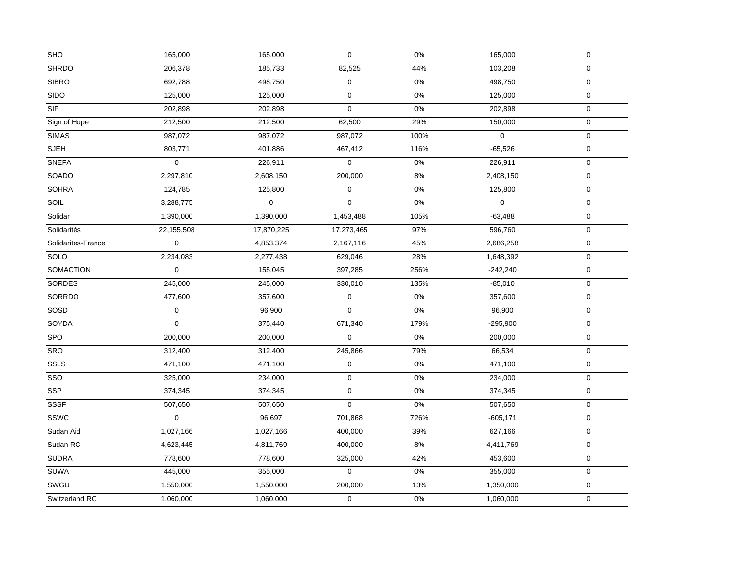| <b>SHO</b>              | 165,000     | 165,000     | $\mathsf 0$ | 0%    | 165,000     | $\pmb{0}$        |
|-------------------------|-------------|-------------|-------------|-------|-------------|------------------|
| <b>SHRDO</b>            | 206,378     | 185,733     | 82,525      | 44%   | 103,208     | $\mathbf 0$      |
| <b>SIBRO</b>            | 692,788     | 498,750     | $\pmb{0}$   | $0\%$ | 498,750     | $\mathbf 0$      |
| <b>SIDO</b>             | 125,000     | 125,000     | $\mathbf 0$ | 0%    | 125,000     | $\mathbf 0$      |
| $\overline{\text{SIF}}$ | 202,898     | 202,898     | $\mathbf 0$ | $0\%$ | 202,898     | $\mathbf 0$      |
| Sign of Hope            | 212,500     | 212,500     | 62,500      | 29%   | 150,000     | $\mathbf 0$      |
| <b>SIMAS</b>            | 987,072     | 987,072     | 987,072     | 100%  | $\mathbf 0$ | $\pmb{0}$        |
| <b>SJEH</b>             | 803,771     | 401,886     | 467,412     | 116%  | $-65,526$   | $\pmb{0}$        |
| <b>SNEFA</b>            | $\mathbf 0$ | 226,911     | $\mathsf 0$ | $0\%$ | 226,911     | $\boldsymbol{0}$ |
| <b>SOADO</b>            | 2,297,810   | 2,608,150   | 200,000     | $8\%$ | 2,408,150   | $\mathbf 0$      |
| <b>SOHRA</b>            | 124,785     | 125,800     | $\mathsf 0$ | $0\%$ | 125,800     | $\boldsymbol{0}$ |
| SOIL                    | 3,288,775   | $\mathbf 0$ | $\mathbf 0$ | $0\%$ | $\mathbf 0$ | $\pmb{0}$        |
| Solidar                 | 1,390,000   | 1,390,000   | 1,453,488   | 105%  | $-63,488$   | $\pmb{0}$        |
| Solidarités             | 22,155,508  | 17,870,225  | 17,273,465  | 97%   | 596,760     | 0                |
| Solidarites-France      | $\mathbf 0$ | 4,853,374   | 2,167,116   | 45%   | 2,686,258   | $\mathbf 0$      |
| <b>SOLO</b>             | 2,234,083   | 2,277,438   | 629,046     | 28%   | 1,648,392   | $\mathbf 0$      |
| <b>SOMACTION</b>        | $\mathbf 0$ | 155,045     | 397,285     | 256%  | $-242,240$  | $\pmb{0}$        |
| SORDES                  | 245,000     | 245,000     | 330,010     | 135%  | $-85,010$   | $\pmb{0}$        |
| <b>SORRDO</b>           | 477,600     | 357,600     | $\pmb{0}$   | $0\%$ | 357,600     | $\boldsymbol{0}$ |
| SOSD                    | $\pmb{0}$   | 96,900      | $\mathbf 0$ | $0\%$ | 96,900      | $\boldsymbol{0}$ |
| SOYDA                   | $\mathbf 0$ | 375,440     | 671,340     | 179%  | $-295,900$  | $\mathbf 0$      |
| <b>SPO</b>              | 200,000     | 200,000     | $\mathbf 0$ | $0\%$ | 200,000     | $\mathbf 0$      |
| <b>SRO</b>              | 312,400     | 312,400     | 245,866     | 79%   | 66,534      | $\mathbf 0$      |
| SSLS                    | 471,100     | 471,100     | $\mathsf 0$ | $0\%$ | 471,100     | $\mathbf 0$      |
| SSO                     | 325,000     | 234,000     | $\pmb{0}$   | 0%    | 234,000     | $\mathbf 0$      |
| <b>SSP</b>              | 374,345     | 374,345     | $\mathbf 0$ | 0%    | 374,345     | $\mathbf 0$      |
| <b>SSSF</b>             | 507,650     | 507,650     | $\mathsf 0$ | $0\%$ | 507,650     | $\mathbf 0$      |
| <b>SSWC</b>             | $\Omega$    | 96,697      | 701,868     | 726%  | $-605,171$  | $\mathbf 0$      |
| Sudan Aid               | 1,027,166   | 1,027,166   | 400,000     | 39%   | 627,166     | $\pmb{0}$        |
| Sudan RC                | 4,623,445   | 4,811,769   | 400,000     | $8%$  | 4,411,769   | $\pmb{0}$        |
| <b>SUDRA</b>            | 778,600     | 778,600     | 325,000     | 42%   | 453,600     | $\mathbf 0$      |
| <b>SUWA</b>             | 445,000     | 355,000     | $\mathsf 0$ | $0\%$ | 355,000     | $\pmb{0}$        |
| SWGU                    | 1,550,000   | 1,550,000   | 200,000     | 13%   | 1,350,000   | $\boldsymbol{0}$ |
| Switzerland RC          | 1,060,000   | 1,060,000   | $\mathsf 0$ | $0\%$ | 1,060,000   | $\mathbf 0$      |
|                         |             |             |             |       |             |                  |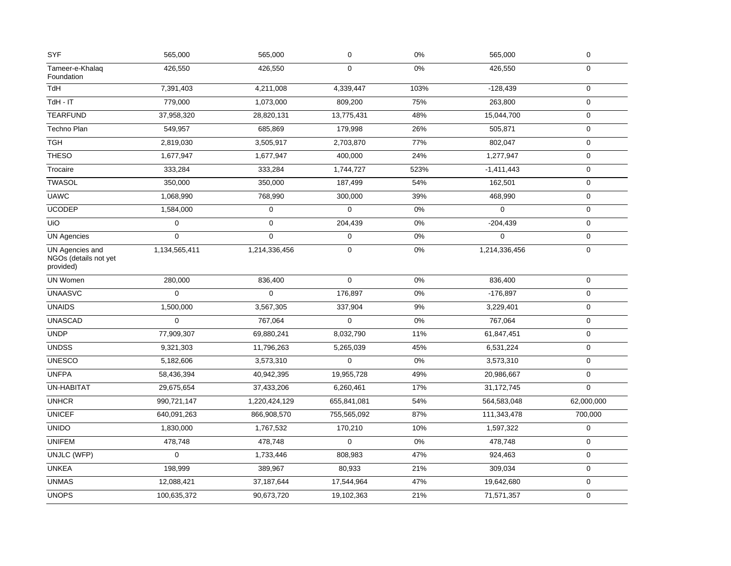| <b>SYF</b>                                            | 565,000       | 565,000          | $\mathbf 0$ | 0%    | 565,000       | $\mathsf{O}\xspace$ |
|-------------------------------------------------------|---------------|------------------|-------------|-------|---------------|---------------------|
| Tameer-e-Khalaq<br>Foundation                         | 426,550       | 426,550          | $\mathbf 0$ | 0%    | 426,550       | $\mathbf 0$         |
| <b>TdH</b>                                            | 7,391,403     | 4,211,008        | 4,339,447   | 103%  | $-128,439$    | $\mathbf 0$         |
| TdH - IT                                              | 779,000       | 1,073,000        | 809,200     | 75%   | 263,800       | $\mathbf 0$         |
| <b>TEARFUND</b>                                       | 37,958,320    | 28,820,131       | 13,775,431  | 48%   | 15,044,700    | $\boldsymbol{0}$    |
| Techno Plan                                           | 549,957       | 685,869          | 179,998     | 26%   | 505,871       | $\mathbf 0$         |
| <b>TGH</b>                                            | 2,819,030     | 3,505,917        | 2,703,870   | 77%   | 802,047       | $\mathbf 0$         |
| <b>THESO</b>                                          | 1,677,947     | 1,677,947        | 400,000     | 24%   | 1,277,947     | $\mathsf{O}\xspace$ |
| Trocaire                                              | 333,284       | 333,284          | 1,744,727   | 523%  | $-1,411,443$  | $\mathsf{O}\xspace$ |
| <b>TWASOL</b>                                         | 350,000       | 350,000          | 187,499     | 54%   | 162,501       | $\mathbf 0$         |
| <b>UAWC</b>                                           | 1,068,990     | 768,990          | 300,000     | 39%   | 468,990       | $\mathbf 0$         |
| <b>UCODEP</b>                                         | 1,584,000     | $\boldsymbol{0}$ | $\pmb{0}$   | 0%    | $\mathbf{0}$  | $\mathsf{O}\xspace$ |
| UiO                                                   | 0             | 0                | 204,439     | 0%    | $-204,439$    | $\mathbf 0$         |
| <b>UN Agencies</b>                                    | 0             | $\mathbf 0$      | $\mathbf 0$ | 0%    | $\mathbf 0$   | $\mathbf 0$         |
| UN Agencies and<br>NGOs (details not yet<br>provided) | 1,134,565,411 | 1,214,336,456    | $\pmb{0}$   | $0\%$ | 1,214,336,456 | $\mathsf{O}\xspace$ |
| UN Women                                              | 280,000       | 836,400          | $\pmb{0}$   | $0\%$ | 836,400       | $\mathbf 0$         |
| <b>UNAASVC</b>                                        | $\mathbf 0$   | $\mathbf 0$      | 176,897     | 0%    | $-176,897$    | $\mathsf{O}\xspace$ |
| <b>UNAIDS</b>                                         | 1,500,000     | 3,567,305        | 337,904     | 9%    | 3,229,401     | $\mathbf 0$         |
| <b>UNASCAD</b>                                        | $\mathbf 0$   | 767,064          | $\mathbf 0$ | 0%    | 767,064       | $\mathsf{O}\xspace$ |
| <b>UNDP</b>                                           | 77,909,307    | 69,880,241       | 8,032,790   | 11%   | 61,847,451    | $\mathbf 0$         |
| <b>UNDSS</b>                                          | 9,321,303     | 11,796,263       | 5,265,039   | 45%   | 6,531,224     | $\mathbf 0$         |
| <b>UNESCO</b>                                         | 5,182,606     | 3,573,310        | $\pmb{0}$   | 0%    | 3,573,310     | $\mathbf 0$         |
| <b>UNFPA</b>                                          | 58,436,394    | 40,942,395       | 19,955,728  | 49%   | 20,986,667    | $\mathsf{O}\xspace$ |
| <b>UN-HABITAT</b>                                     | 29,675,654    | 37,433,206       | 6,260,461   | 17%   | 31,172,745    | $\mathsf{O}\xspace$ |
| <b>UNHCR</b>                                          | 990,721,147   | 1,220,424,129    | 655,841,081 | 54%   | 564,583,048   | 62,000,000          |
| <b>UNICEF</b>                                         | 640,091,263   | 866,908,570      | 755,565,092 | 87%   | 111,343,478   | 700,000             |
| <b>UNIDO</b>                                          | 1,830,000     | 1,767,532        | 170,210     | 10%   | 1,597,322     | $\pmb{0}$           |
| <b>UNIFEM</b>                                         | 478,748       | 478.748          | $\Omega$    | 0%    | 478,748       | $\mathbf 0$         |
| UNJLC (WFP)                                           | 0             | 1,733,446        | 808,983     | 47%   | 924,463       | $\mathbf 0$         |
| <b>UNKEA</b>                                          | 198,999       | 389,967          | 80,933      | 21%   | 309,034       | $\mathbf 0$         |
| <b>UNMAS</b>                                          | 12,088,421    | 37, 187, 644     | 17,544,964  | 47%   | 19,642,680    | $\mathbf 0$         |
| <b>UNOPS</b>                                          | 100,635,372   | 90,673,720       | 19,102,363  | 21%   | 71,571,357    | $\mathbf 0$         |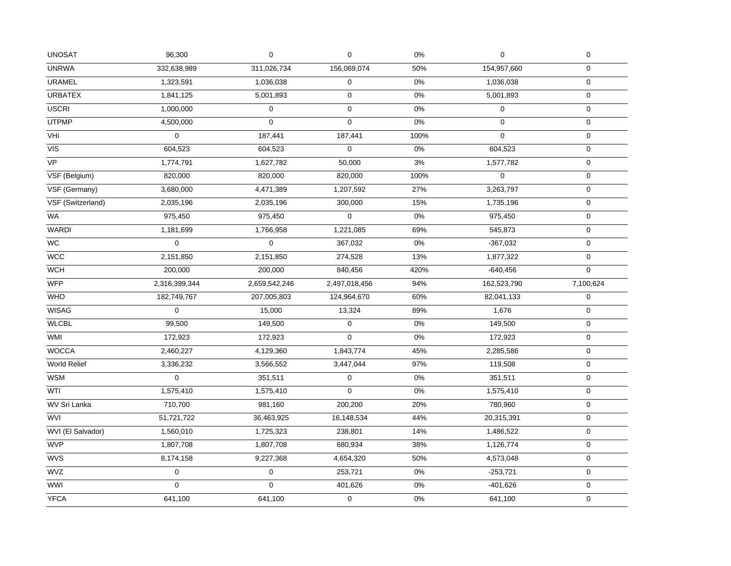| <b>UNOSAT</b>     | 96,300           | $\mathbf 0$   | 0             | 0%    | $\mathbf 0$ | $\pmb{0}$        |
|-------------------|------------------|---------------|---------------|-------|-------------|------------------|
| <b>UNRWA</b>      | 332,638,989      | 311,026,734   | 156,069,074   | 50%   | 154,957,660 | $\mathbf 0$      |
| URAMEL            | 1,323,591        | 1,036,038     | 0             | $0\%$ | 1,036,038   | $\mathbf 0$      |
| <b>URBATEX</b>    | 1,841,125        | 5,001,893     | 0             | 0%    | 5,001,893   | $\mathbf 0$      |
| <b>USCRI</b>      | 1,000,000        | $\mathbf 0$   | 0             | 0%    | $\mathbf 0$ | $\mathbf 0$      |
| <b>UTPMP</b>      | 4,500,000        | $\mathbf 0$   | $\mathbf 0$   | 0%    | $\Omega$    | $\mathbf 0$      |
| VHI               | 0                | 187,441       | 187,441       | 100%  | $\mathbf 0$ | $\mathbf 0$      |
| VIS               | 604,523          | 604,523       | 0             | $0\%$ | 604,523     | $\pmb{0}$        |
| <b>VP</b>         | 1,774,791        | 1,627,782     | 50,000        | 3%    | 1,577,782   | $\mathbf 0$      |
| VSF (Belgium)     | 820,000          | 820,000       | 820,000       | 100%  | $\mathbf 0$ | $\mathbf 0$      |
| VSF (Germany)     | 3,680,000        | 4,471,389     | 1,207,592     | 27%   | 3,263,797   | $\boldsymbol{0}$ |
| VSF (Switzerland) | 2,035,196        | 2,035,196     | 300,000       | 15%   | 1,735,196   | $\boldsymbol{0}$ |
| WA                | 975,450          | 975,450       | $\mathbf 0$   | $0\%$ | 975,450     | $\mathbf 0$      |
| <b>WARDI</b>      | 1,181,699        | 1,766,958     | 1,221,085     | 69%   | 545,873     | 0                |
| $\overline{WC}$   | 0                | $\mathbf 0$   | 367,032       | $0\%$ | $-367,032$  | $\mathbf 0$      |
| <b>WCC</b>        | 2,151,850        | 2,151,850     | 274,528       | 13%   | 1,877,322   | $\boldsymbol{0}$ |
| <b>WCH</b>        | 200,000          | 200,000       | 840,456       | 420%  | $-640,456$  | $\overline{0}$   |
| <b>WFP</b>        | 2,316,399,344    | 2,659,542,246 | 2,497,018,456 | 94%   | 162,523,790 | 7,100,624        |
| <b>WHO</b>        | 182,749,767      | 207,005,803   | 124,964,670   | 60%   | 82,041,133  | $\boldsymbol{0}$ |
| <b>WISAG</b>      | $\boldsymbol{0}$ | 15,000        | 13,324        | 89%   | 1,676       | $\mathbf 0$      |
| <b>WLCBL</b>      | 99,500           | 149,500       | 0             | 0%    | 149,500     | $\mathsf{O}$     |
| <b>WMI</b>        | 172,923          | 172,923       | $\mathbf 0$   | $0\%$ | 172,923     | $\mathbf 0$      |
| <b>WOCCA</b>      | 2,460,227        | 4,129,360     | 1,843,774     | 45%   | 2,285,586   | $\mathbf 0$      |
| World Relief      | 3,336,232        | 3,566,552     | 3,447,044     | 97%   | 119,508     | $\mathbf 0$      |
| <b>WSM</b>        | 0                | 351,511       | 0             | 0%    | 351,511     | $\mathbf 0$      |
| WTI               | 1,575,410        | 1,575,410     | $\mathbf 0$   | 0%    | 1,575,410   | $\mathbf 0$      |
| WV Sri Lanka      | 710,700          | 981,160       | 200,200       | 20%   | 780,960     | 0                |
| <b>WVI</b>        | 51,721,722       | 36,463,925    | 16,148,534    | 44%   | 20,315,391  | $\mathbf 0$      |
| WVI (El Salvador) | 1,560,010        | 1,725,323     | 238,801       | 14%   | 1,486,522   | $\mathbf 0$      |
| <b>WVP</b>        | 1,807,708        | 1,807,708     | 680,934       | 38%   | 1,126,774   | $\mathbf 0$      |
| <b>WVS</b>        | 8,174,158        | 9,227,368     | 4,654,320     | 50%   | 4,573,048   | $\mathbf 0$      |
| <b>WVZ</b>        | $\mathbf 0$      | $\mathbf 0$   | 253,721       | $0\%$ | $-253,721$  | $\mathbf 0$      |
| <b>WWI</b>        | $\Omega$         | $\Omega$      | 401,626       | 0%    | $-401,626$  | $\boldsymbol{0}$ |
| <b>YFCA</b>       | 641,100          | 641,100       | 0             | $0\%$ | 641,100     | $\mathbf 0$      |